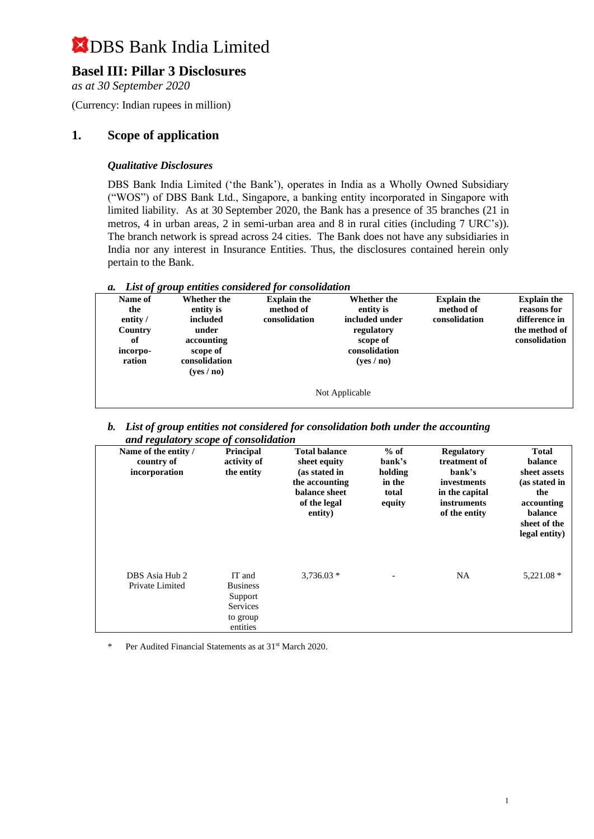## **Basel III: Pillar 3 Disclosures**

*as at 30 September 2020*

(Currency: Indian rupees in million)

### **1. Scope of application**

#### *Qualitative Disclosures*

DBS Bank India Limited ('the Bank'), operates in India as a Wholly Owned Subsidiary ("WOS") of DBS Bank Ltd., Singapore, a banking entity incorporated in Singapore with limited liability. As at 30 September 2020, the Bank has a presence of 35 branches (21 in metros, 4 in urban areas, 2 in semi-urban area and 8 in rural cities (including 7 URC's)). The branch network is spread across 24 cities. The Bank does not have any subsidiaries in India nor any interest in Insurance Entities. Thus, the disclosures contained herein only pertain to the Bank.

| a. List of group entities considered for consolidation |  |  |
|--------------------------------------------------------|--|--|
|                                                        |  |  |

| $\cdots$ |                            |                    |                |                    |                    |
|----------|----------------------------|--------------------|----------------|--------------------|--------------------|
| Name of  | Whether the                | <b>Explain the</b> | Whether the    | <b>Explain the</b> | <b>Explain the</b> |
| the      | entity is                  | method of          | entity is      | method of          | reasons for        |
| entity / | included                   | consolidation      | included under | consolidation      | difference in      |
| Country  | under                      |                    | regulatory     |                    | the method of      |
| of       | accounting                 |                    | scope of       |                    | consolidation      |
| incorpo- | scope of                   |                    | consolidation  |                    |                    |
| ration   | consolidation              |                    | (yes/no)       |                    |                    |
|          | ( <b>ves</b> / <b>no</b> ) |                    |                |                    |                    |
|          |                            |                    |                |                    |                    |
|          |                            |                    | Not Applicable |                    |                    |
|          |                            |                    |                |                    |                    |

*b. List of group entities not considered for consolidation both under the accounting and regulatory scope of consolidation*

| Name of the entity /<br>country of<br>incorporation | <b>Principal</b><br>activity of<br>the entity                                   | <b>Total balance</b><br>sheet equity<br>(as stated in<br>the accounting<br>balance sheet<br>of the legal<br>entity) | $%$ of<br>bank's<br>holding<br>in the<br>total<br>equity | <b>Regulatory</b><br>treatment of<br>bank's<br><i>investments</i><br>in the capital<br>instruments<br>of the entity | <b>Total</b><br>balance<br>sheet assets<br>(as stated in<br>the<br>accounting<br>balance<br>sheet of the<br>legal entity) |
|-----------------------------------------------------|---------------------------------------------------------------------------------|---------------------------------------------------------------------------------------------------------------------|----------------------------------------------------------|---------------------------------------------------------------------------------------------------------------------|---------------------------------------------------------------------------------------------------------------------------|
| DBS Asia Hub 2<br>Private Limited                   | IT and<br><b>Business</b><br>Support<br><b>Services</b><br>to group<br>entities | $3,736.03*$                                                                                                         |                                                          | NA                                                                                                                  | $5,221.08*$                                                                                                               |

Per Audited Financial Statements as at 31<sup>st</sup> March 2020.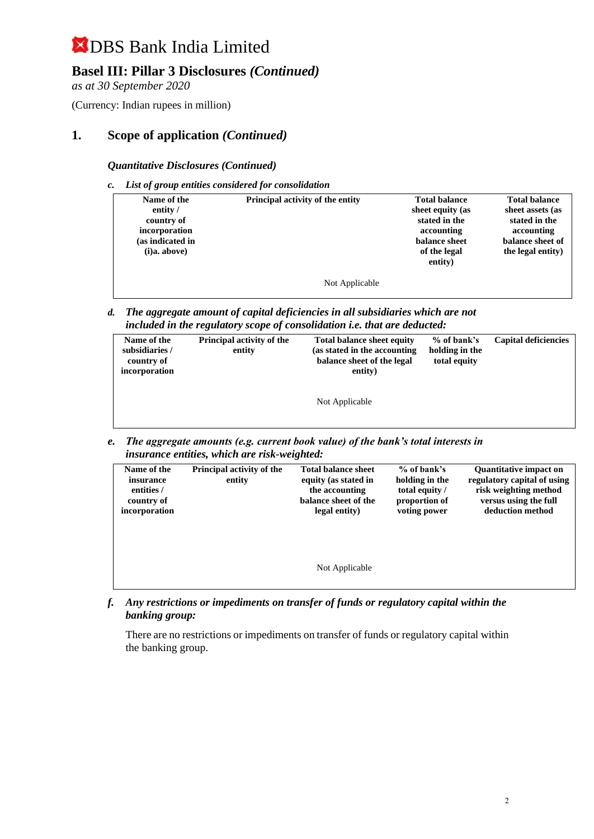## **Basel III: Pillar 3 Disclosures** *(Continued)*

*as at 30 September 2020*

(Currency: Indian rupees in million)

## **1. Scope of application** *(Continued)*

*Quantitative Disclosures (Continued)*

*c. List of group entities considered for consolidation*

| Name of the<br>entity /<br>country of<br>incorporation<br>(as indicated in<br>(i)a. above) | Principal activity of the entity | <b>Total balance</b><br>sheet equity (as<br>stated in the<br>accounting<br>balance sheet<br>of the legal<br>entity) | <b>Total balance</b><br>sheet assets (as<br>stated in the<br>accounting<br>balance sheet of<br>the legal entity) |
|--------------------------------------------------------------------------------------------|----------------------------------|---------------------------------------------------------------------------------------------------------------------|------------------------------------------------------------------------------------------------------------------|
|                                                                                            | Not Applicable                   |                                                                                                                     |                                                                                                                  |

*d. The aggregate amount of capital deficiencies in all subsidiaries which are not included in the regulatory scope of consolidation i.e. that are deducted:*

| Name of the<br>subsidiaries /<br>country of<br>incorporation | <b>Principal activity of the</b><br><b>Total balance sheet equity</b><br>(as stated in the accounting<br>entity<br>balance sheet of the legal<br>entity) |                | % of bank's<br>holding in the<br>total equity | <b>Capital deficiencies</b> |
|--------------------------------------------------------------|----------------------------------------------------------------------------------------------------------------------------------------------------------|----------------|-----------------------------------------------|-----------------------------|
|                                                              |                                                                                                                                                          | Not Applicable |                                               |                             |

*e. The aggregate amounts (e.g. current book value) of the bank's total interests in insurance entities, which are risk-weighted:*

| Name of the<br>insurance<br>entities /<br>country of<br>incorporation | Principal activity of the<br>entity | <b>Total balance sheet</b><br>equity (as stated in<br>the accounting<br>balance sheet of the<br>legal entity) | $%$ of bank's<br>holding in the<br>total equity /<br>proportion of<br>voting power | <b>Quantitative impact on</b><br>regulatory capital of using<br>risk weighting method<br>versus using the full<br>deduction method |
|-----------------------------------------------------------------------|-------------------------------------|---------------------------------------------------------------------------------------------------------------|------------------------------------------------------------------------------------|------------------------------------------------------------------------------------------------------------------------------------|
|                                                                       |                                     | Not Applicable                                                                                                |                                                                                    |                                                                                                                                    |

*f. Any restrictions or impediments on transfer of funds or regulatory capital within the banking group:*

There are no restrictions or impediments on transfer of funds or regulatory capital within the banking group.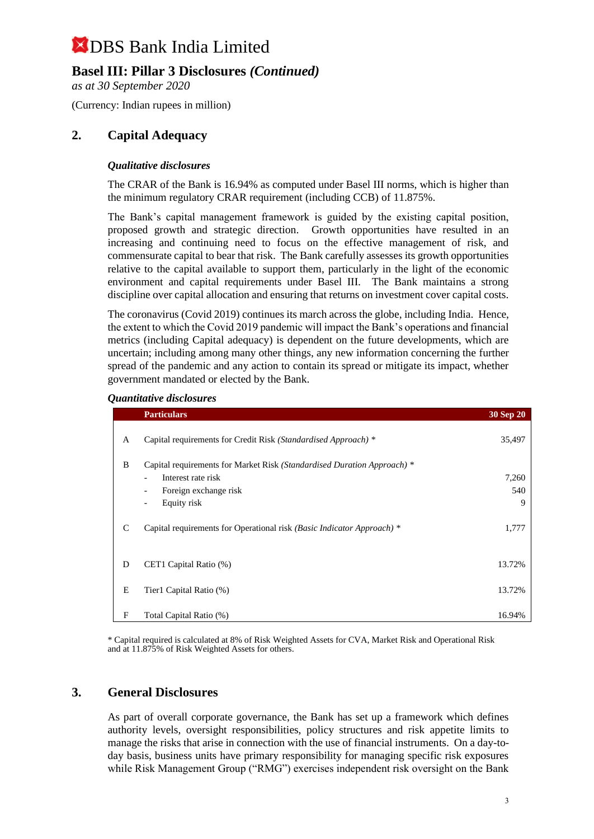## **Basel III: Pillar 3 Disclosures** *(Continued)*

*as at 30 September 2020*

(Currency: Indian rupees in million)

### **2. Capital Adequacy**

#### *Qualitative disclosures*

The CRAR of the Bank is 16.94% as computed under Basel III norms, which is higher than the minimum regulatory CRAR requirement (including CCB) of 11.875%.

The Bank's capital management framework is guided by the existing capital position, proposed growth and strategic direction. Growth opportunities have resulted in an increasing and continuing need to focus on the effective management of risk, and commensurate capital to bear that risk. The Bank carefully assesses its growth opportunities relative to the capital available to support them, particularly in the light of the economic environment and capital requirements under Basel III. The Bank maintains a strong discipline over capital allocation and ensuring that returns on investment cover capital costs.

The coronavirus (Covid 2019) continues its march across the globe, including India. Hence, the extent to which the Covid 2019 pandemic will impact the Bank's operations and financial metrics (including Capital adequacy) is dependent on the future developments, which are uncertain; including among many other things, any new information concerning the further spread of the pandemic and any action to contain its spread or mitigate its impact, whether government mandated or elected by the Bank.

#### *Quantitative disclosures*

|   | <b>Particulars</b>                                                      | 30 Sep 20 |
|---|-------------------------------------------------------------------------|-----------|
| A | Capital requirements for Credit Risk (Standardised Approach) *          | 35,497    |
| B | Capital requirements for Market Risk (Standardised Duration Approach) * |           |
|   | Interest rate risk<br>$\overline{\phantom{0}}$                          | 7,260     |
|   | Foreign exchange risk<br>Ξ.                                             | 540       |
|   | Equity risk<br>$\overline{\phantom{0}}$                                 | 9         |
| C | Capital requirements for Operational risk (Basic Indicator Approach) *  | 1,777     |
| D | CET1 Capital Ratio (%)                                                  | 13.72%    |
| E | Tier1 Capital Ratio (%)                                                 | 13.72%    |
| F | Total Capital Ratio (%)                                                 | 16.94%    |

\* Capital required is calculated at 8% of Risk Weighted Assets for CVA, Market Risk and Operational Risk and at 11.875% of Risk Weighted Assets for others.

#### **3. General Disclosures**

As part of overall corporate governance, the Bank has set up a framework which defines authority levels, oversight responsibilities, policy structures and risk appetite limits to manage the risks that arise in connection with the use of financial instruments. On a day-today basis, business units have primary responsibility for managing specific risk exposures while Risk Management Group ("RMG") exercises independent risk oversight on the Bank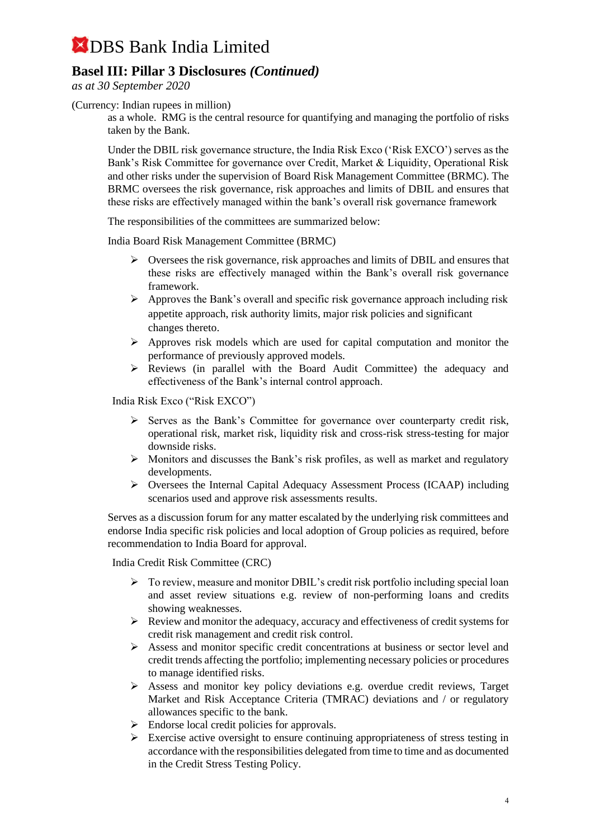## **Basel III: Pillar 3 Disclosures** *(Continued)*

*as at 30 September 2020*

(Currency: Indian rupees in million)

as a whole. RMG is the central resource for quantifying and managing the portfolio of risks taken by the Bank.

Under the DBIL risk governance structure, the India Risk Exco ('Risk EXCO') serves as the Bank's Risk Committee for governance over Credit, Market & Liquidity, Operational Risk and other risks under the supervision of Board Risk Management Committee (BRMC). The BRMC oversees the risk governance, risk approaches and limits of DBIL and ensures that these risks are effectively managed within the bank's overall risk governance framework

The responsibilities of the committees are summarized below:

India Board Risk Management Committee (BRMC)

- $\triangleright$  Oversees the risk governance, risk approaches and limits of DBIL and ensures that these risks are effectively managed within the Bank's overall risk governance framework.
- ➢ Approves the Bank's overall and specific risk governance approach including risk appetite approach, risk authority limits, major risk policies and significant changes thereto.
- $\triangleright$  Approves risk models which are used for capital computation and monitor the performance of previously approved models.
- ➢ Reviews (in parallel with the Board Audit Committee) the adequacy and effectiveness of the Bank's internal control approach.

India Risk Exco ("Risk EXCO")

- $\triangleright$  Serves as the Bank's Committee for governance over counterparty credit risk, operational risk, market risk, liquidity risk and cross-risk stress-testing for major downside risks.
- ➢ Monitors and discusses the Bank's risk profiles, as well as market and regulatory developments.
- ➢ Oversees the Internal Capital Adequacy Assessment Process (ICAAP) including scenarios used and approve risk assessments results.

Serves as a discussion forum for any matter escalated by the underlying risk committees and endorse India specific risk policies and local adoption of Group policies as required, before recommendation to India Board for approval.

India Credit Risk Committee (CRC)

- ➢ To review, measure and monitor DBIL's credit risk portfolio including special loan and asset review situations e.g. review of non-performing loans and credits showing weaknesses.
- ➢ Review and monitor the adequacy, accuracy and effectiveness of credit systems for credit risk management and credit risk control.
- ➢ Assess and monitor specific credit concentrations at business or sector level and credit trends affecting the portfolio; implementing necessary policies or procedures to manage identified risks.
- ➢ Assess and monitor key policy deviations e.g. overdue credit reviews, Target Market and Risk Acceptance Criteria (TMRAC) deviations and / or regulatory allowances specific to the bank.
- ➢ Endorse local credit policies for approvals.
- $\triangleright$  Exercise active oversight to ensure continuing appropriateness of stress testing in accordance with the responsibilities delegated from time to time and as documented in the Credit Stress Testing Policy.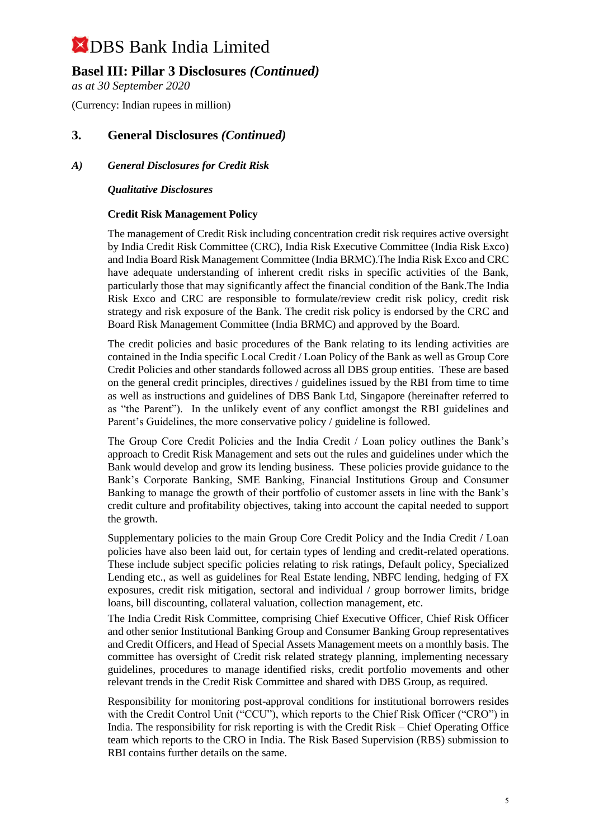### **Basel III: Pillar 3 Disclosures** *(Continued)*

*as at 30 September 2020*

(Currency: Indian rupees in million)

### **3. General Disclosures** *(Continued)*

#### *A) General Disclosures for Credit Risk*

#### *Qualitative Disclosures*

#### **Credit Risk Management Policy**

The management of Credit Risk including concentration credit risk requires active oversight by India Credit Risk Committee (CRC), India Risk Executive Committee (India Risk Exco) and India Board Risk Management Committee (India BRMC).The India Risk Exco and CRC have adequate understanding of inherent credit risks in specific activities of the Bank, particularly those that may significantly affect the financial condition of the Bank.The India Risk Exco and CRC are responsible to formulate/review credit risk policy, credit risk strategy and risk exposure of the Bank. The credit risk policy is endorsed by the CRC and Board Risk Management Committee (India BRMC) and approved by the Board.

The credit policies and basic procedures of the Bank relating to its lending activities are contained in the India specific Local Credit / Loan Policy of the Bank as well as Group Core Credit Policies and other standards followed across all DBS group entities. These are based on the general credit principles, directives / guidelines issued by the RBI from time to time as well as instructions and guidelines of DBS Bank Ltd, Singapore (hereinafter referred to as "the Parent"). In the unlikely event of any conflict amongst the RBI guidelines and Parent's Guidelines, the more conservative policy / guideline is followed.

The Group Core Credit Policies and the India Credit / Loan policy outlines the Bank's approach to Credit Risk Management and sets out the rules and guidelines under which the Bank would develop and grow its lending business. These policies provide guidance to the Bank's Corporate Banking, SME Banking, Financial Institutions Group and Consumer Banking to manage the growth of their portfolio of customer assets in line with the Bank's credit culture and profitability objectives, taking into account the capital needed to support the growth.

Supplementary policies to the main Group Core Credit Policy and the India Credit / Loan policies have also been laid out, for certain types of lending and credit-related operations. These include subject specific policies relating to risk ratings, Default policy, Specialized Lending etc., as well as guidelines for Real Estate lending, NBFC lending, hedging of FX exposures, credit risk mitigation, sectoral and individual / group borrower limits, bridge loans, bill discounting, collateral valuation, collection management, etc.

The India Credit Risk Committee, comprising Chief Executive Officer, Chief Risk Officer and other senior Institutional Banking Group and Consumer Banking Group representatives and Credit Officers, and Head of Special Assets Management meets on a monthly basis. The committee has oversight of Credit risk related strategy planning, implementing necessary guidelines, procedures to manage identified risks, credit portfolio movements and other relevant trends in the Credit Risk Committee and shared with DBS Group, as required.

Responsibility for monitoring post-approval conditions for institutional borrowers resides with the Credit Control Unit ("CCU"), which reports to the Chief Risk Officer ("CRO") in India. The responsibility for risk reporting is with the Credit Risk – Chief Operating Office team which reports to the CRO in India. The Risk Based Supervision (RBS) submission to RBI contains further details on the same.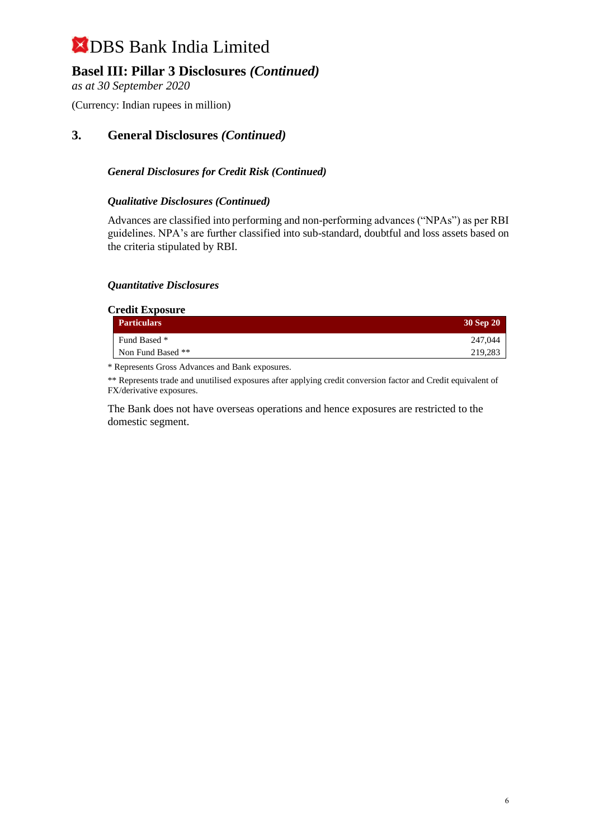## **Basel III: Pillar 3 Disclosures** *(Continued)*

*as at 30 September 2020*

(Currency: Indian rupees in million)

### **3. General Disclosures** *(Continued)*

#### *General Disclosures for Credit Risk (Continued)*

#### *Qualitative Disclosures (Continued)*

Advances are classified into performing and non-performing advances ("NPAs") as per RBI guidelines. NPA's are further classified into sub-standard, doubtful and loss assets based on the criteria stipulated by RBI.

#### *Quantitative Disclosures*

#### **Credit Exposure**

| <b>Particulars</b> | 30 Sep 20 |
|--------------------|-----------|
| Fund Based *       | 247,044   |
| Non Fund Based **  | 219,283   |

\* Represents Gross Advances and Bank exposures.

\*\* Represents trade and unutilised exposures after applying credit conversion factor and Credit equivalent of FX/derivative exposures.

The Bank does not have overseas operations and hence exposures are restricted to the domestic segment.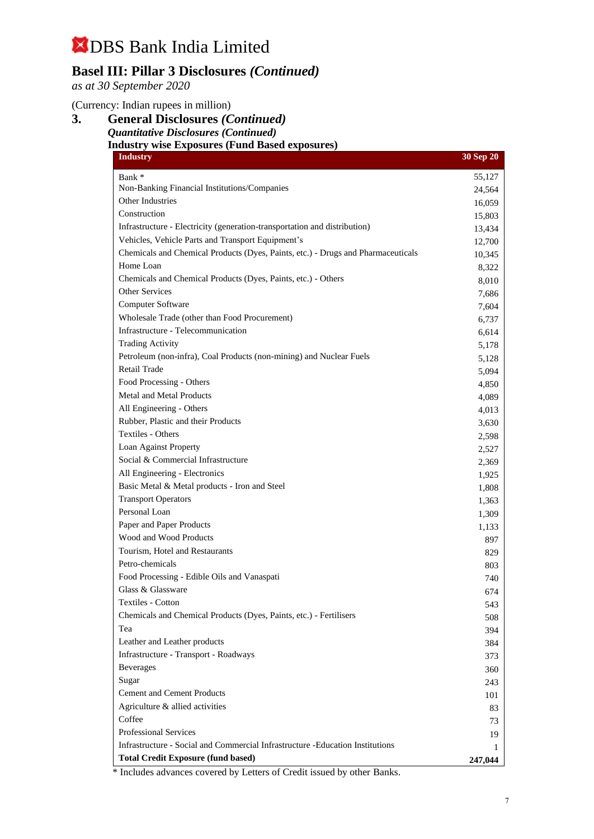## **Basel III: Pillar 3 Disclosures** *(Continued)*

*as at 30 September 2020*

(Currency: Indian rupees in million)

**3. General Disclosures** *(Continued) Quantitative Disclosures (Continued)* **Industry wise Exposures (Fund Based exposures)**

| Bank *<br>Non-Banking Financial Institutions/Companies                                                              | 55,127<br>24,564 |
|---------------------------------------------------------------------------------------------------------------------|------------------|
|                                                                                                                     |                  |
|                                                                                                                     |                  |
| <b>Other Industries</b>                                                                                             | 16,059           |
| Construction                                                                                                        | 15,803           |
| Infrastructure - Electricity (generation-transportation and distribution)                                           | 13,434           |
| Vehicles, Vehicle Parts and Transport Equipment's                                                                   | 12,700           |
| Chemicals and Chemical Products (Dyes, Paints, etc.) - Drugs and Pharmaceuticals                                    | 10,345           |
| Home Loan                                                                                                           | 8,322            |
| Chemicals and Chemical Products (Dyes, Paints, etc.) - Others                                                       | 8,010            |
| Other Services                                                                                                      | 7,686            |
| Computer Software                                                                                                   | 7,604            |
| Wholesale Trade (other than Food Procurement)                                                                       | 6,737            |
| Infrastructure - Telecommunication                                                                                  | 6,614            |
| <b>Trading Activity</b>                                                                                             | 5,178            |
| Petroleum (non-infra), Coal Products (non-mining) and Nuclear Fuels                                                 | 5,128            |
| <b>Retail Trade</b>                                                                                                 | 5,094            |
| Food Processing - Others                                                                                            | 4,850            |
| Metal and Metal Products                                                                                            | 4,089            |
| All Engineering - Others                                                                                            | 4,013            |
| Rubber, Plastic and their Products                                                                                  | 3,630            |
| <b>Textiles - Others</b>                                                                                            | 2,598            |
| Loan Against Property                                                                                               | 2,527            |
| Social & Commercial Infrastructure                                                                                  | 2,369            |
| All Engineering - Electronics                                                                                       | 1,925            |
| Basic Metal & Metal products - Iron and Steel                                                                       | 1,808            |
| <b>Transport Operators</b>                                                                                          | 1,363            |
| Personal Loan                                                                                                       | 1,309            |
| Paper and Paper Products                                                                                            | 1,133            |
| Wood and Wood Products                                                                                              | 897              |
| Tourism, Hotel and Restaurants                                                                                      | 829              |
| Petro-chemicals                                                                                                     | 803              |
| Food Processing - Edible Oils and Vanaspati                                                                         | 740              |
| Glass & Glassware                                                                                                   | 674              |
| Textiles - Cotton                                                                                                   | 543              |
| Chemicals and Chemical Products (Dyes, Paints, etc.) - Fertilisers                                                  | 508              |
| Tea                                                                                                                 | 394              |
| Leather and Leather products                                                                                        | 384              |
| Infrastructure - Transport - Roadways                                                                               | 373              |
| <b>Beverages</b>                                                                                                    | 360              |
| Sugar                                                                                                               | 243              |
| <b>Cement and Cement Products</b>                                                                                   | 101              |
| Agriculture & allied activities                                                                                     | 83               |
| Coffee                                                                                                              | 73               |
| Professional Services                                                                                               | 19               |
| Infrastructure - Social and Commercial Infrastructure - Education Institutions                                      | 1                |
| <b>Total Credit Exposure (fund based)</b><br>* Includes advances covered by Letters of Credit issued by other Ranks | 247,044          |

Includes advances covered by Letters of Credit issued by other Banks.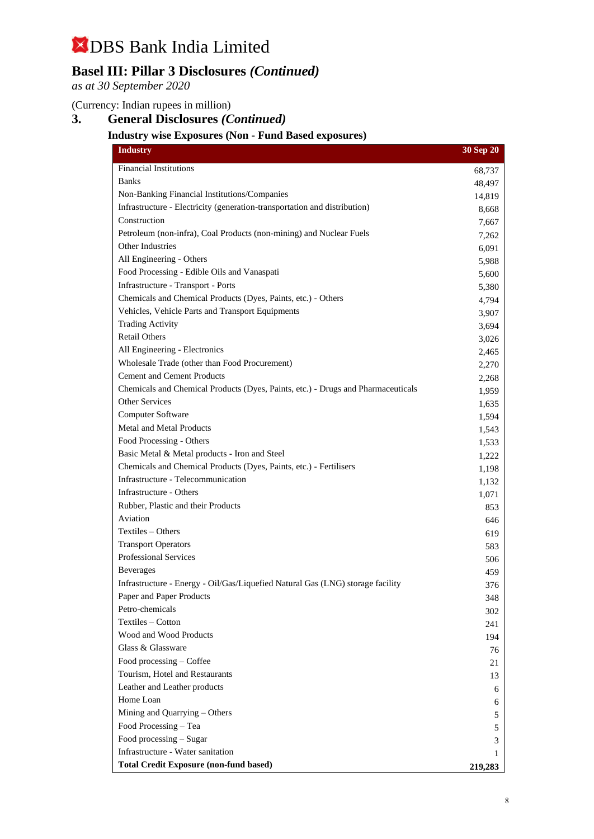## **Basel III: Pillar 3 Disclosures** *(Continued)*

*as at 30 September 2020*

### (Currency: Indian rupees in million)

## **3. General Disclosures** *(Continued)*

### **Industry wise Exposures (Non - Fund Based exposures)**

| <b>Industry</b>                                                                  | 30 Sep 20 |
|----------------------------------------------------------------------------------|-----------|
| Financial Institutions                                                           | 68,737    |
| <b>Banks</b>                                                                     | 48,497    |
| Non-Banking Financial Institutions/Companies                                     | 14,819    |
| Infrastructure - Electricity (generation-transportation and distribution)        | 8,668     |
| Construction                                                                     | 7,667     |
| Petroleum (non-infra), Coal Products (non-mining) and Nuclear Fuels              | 7,262     |
| Other Industries                                                                 | 6,091     |
| All Engineering - Others                                                         | 5,988     |
| Food Processing - Edible Oils and Vanaspati                                      | 5,600     |
| Infrastructure - Transport - Ports                                               | 5,380     |
| Chemicals and Chemical Products (Dyes, Paints, etc.) - Others                    | 4,794     |
| Vehicles, Vehicle Parts and Transport Equipments                                 | 3,907     |
| <b>Trading Activity</b>                                                          | 3,694     |
| <b>Retail Others</b>                                                             | 3,026     |
| All Engineering - Electronics                                                    | 2,465     |
| Wholesale Trade (other than Food Procurement)                                    | 2,270     |
| <b>Cement and Cement Products</b>                                                | 2,268     |
| Chemicals and Chemical Products (Dyes, Paints, etc.) - Drugs and Pharmaceuticals | 1,959     |
| <b>Other Services</b>                                                            | 1,635     |
| Computer Software                                                                | 1,594     |
| <b>Metal and Metal Products</b>                                                  | 1,543     |
| Food Processing - Others                                                         | 1,533     |
| Basic Metal & Metal products - Iron and Steel                                    | 1,222     |
| Chemicals and Chemical Products (Dyes, Paints, etc.) - Fertilisers               | 1,198     |
| Infrastructure - Telecommunication                                               | 1,132     |
| Infrastructure - Others                                                          | 1,071     |
| Rubber, Plastic and their Products                                               | 853       |
| Aviation                                                                         | 646       |
| Textiles - Others                                                                | 619       |
| <b>Transport Operators</b>                                                       | 583       |
| <b>Professional Services</b>                                                     | 506       |
| <b>Beverages</b>                                                                 | 459       |
| Infrastructure - Energy - Oil/Gas/Liquefied Natural Gas (LNG) storage facility   | 376       |
| Paper and Paper Products                                                         | 348       |
| Petro-chemicals                                                                  | 302       |
| Textiles - Cotton                                                                | 241       |
| Wood and Wood Products                                                           | 194       |
| Glass & Glassware                                                                | 76        |
| Food processing - Coffee                                                         | 21        |
| Tourism, Hotel and Restaurants                                                   | 13        |
| Leather and Leather products                                                     | 6         |
| Home Loan                                                                        | 6         |
| Mining and Quarrying - Others                                                    | 5         |
| Food Processing - Tea                                                            | 5         |
| Food processing - Sugar                                                          | 3         |
| Infrastructure - Water sanitation                                                | 1         |
| <b>Total Credit Exposure (non-fund based)</b>                                    | 219,283   |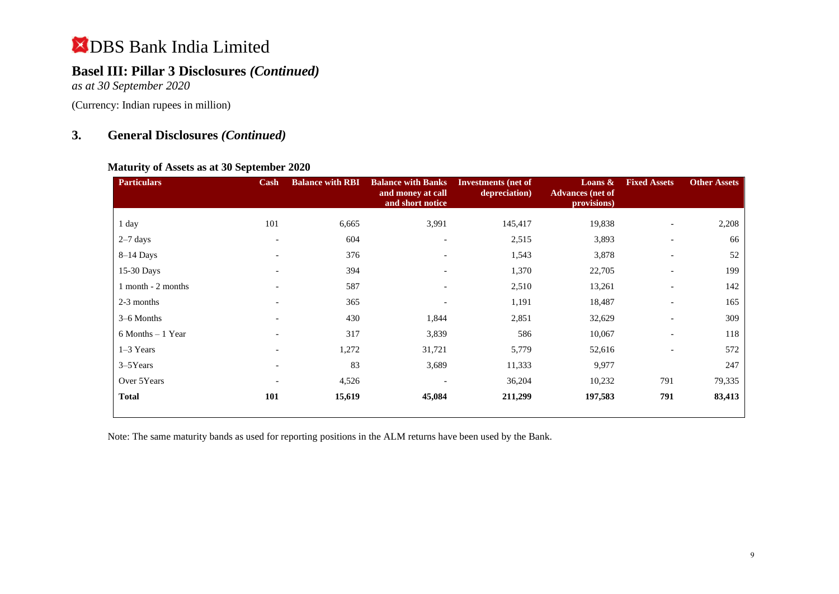## **Basel III: Pillar 3 Disclosures** *(Continued)*

*as at 30 September 2020*

(Currency: Indian rupees in million)

## **3. General Disclosures** *(Continued)*

#### **Maturity of Assets as at 30 September 2020**

| <b>Particulars</b>   | Cash                     | <b>Balance with RBI</b> | <b>Balance with Banks</b><br>and money at call<br>and short notice | <b>Investments</b> (net of<br>depreciation) | Loans $\&$<br><b>Advances</b> (net of<br>provisions) | <b>Fixed Assets</b>      | <b>Other Assets</b> |
|----------------------|--------------------------|-------------------------|--------------------------------------------------------------------|---------------------------------------------|------------------------------------------------------|--------------------------|---------------------|
| 1 day                | 101                      | 6,665                   | 3,991                                                              | 145,417                                     | 19,838                                               | $\overline{\phantom{a}}$ | 2,208               |
| $2-7$ days           | $\overline{\phantom{a}}$ | 604                     |                                                                    | 2,515                                       | 3,893                                                |                          | 66                  |
| $8-14$ Days          | $\overline{\phantom{0}}$ | 376                     | $\overline{\phantom{0}}$                                           | 1,543                                       | 3,878                                                |                          | 52                  |
| 15-30 Days           |                          | 394                     | $\overline{\phantom{0}}$                                           | 1,370                                       | 22,705                                               | $\overline{\phantom{a}}$ | 199                 |
| 1 month - 2 months   | $\overline{\phantom{0}}$ | 587                     | $\overline{\phantom{a}}$                                           | 2,510                                       | 13,261                                               | $\overline{\phantom{a}}$ | 142                 |
| 2-3 months           |                          | 365                     |                                                                    | 1,191                                       | 18,487                                               |                          | 165                 |
| 3-6 Months           | $\overline{\phantom{a}}$ | 430                     | 1,844                                                              | 2,851                                       | 32,629                                               | $\overline{\phantom{a}}$ | 309                 |
| $6$ Months $-1$ Year |                          | 317                     | 3,839                                                              | 586                                         | 10,067                                               |                          | 118                 |
| $1-3$ Years          |                          | 1,272                   | 31,721                                                             | 5,779                                       | 52,616                                               |                          | 572                 |
| $3 - 5$ Years        | $\overline{\phantom{0}}$ | 83                      | 3,689                                                              | 11,333                                      | 9,977                                                |                          | 247                 |
| Over 5Years          | $\overline{\phantom{0}}$ | 4,526                   |                                                                    | 36,204                                      | 10,232                                               | 791                      | 79,335              |
| <b>Total</b>         | 101                      | 15,619                  | 45,084                                                             | 211,299                                     | 197,583                                              | 791                      | 83,413              |

Note: The same maturity bands as used for reporting positions in the ALM returns have been used by the Bank.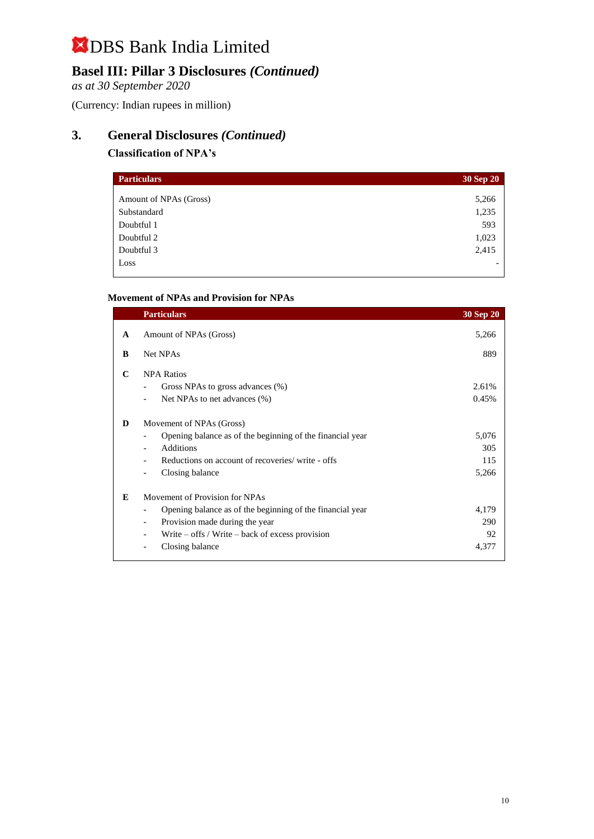## **Basel III: Pillar 3 Disclosures** *(Continued)*

*as at 30 September 2020*

(Currency: Indian rupees in million)

## **3. General Disclosures** *(Continued)*

#### **Classification of NPA's**

| <b>Particulars</b>     | 30 Sep 20 |
|------------------------|-----------|
| Amount of NPAs (Gross) | 5,266     |
| Substandard            | 1,235     |
| Doubtful 1             | 593       |
| Doubtful 2             | 1,023     |
| Doubtful 3             | 2,415     |
| Loss                   |           |

#### **Movement of NPAs and Provision for NPAs**

|   | <b>Particulars</b>                                                                                                                                                                                      | <b>30 Sep 20</b>             |
|---|---------------------------------------------------------------------------------------------------------------------------------------------------------------------------------------------------------|------------------------------|
| A | Amount of NPAs (Gross)                                                                                                                                                                                  | 5,266                        |
| B | Net NPAs                                                                                                                                                                                                | 889                          |
| C | <b>NPA Ratios</b><br>Gross NPAs to gross advances (%)<br>Net NPAs to net advances (%)                                                                                                                   | 2.61%<br>0.45%               |
| D | Movement of NPAs (Gross)<br>Opening balance as of the beginning of the financial year<br><b>Additions</b><br>Reductions on account of recoveries/write - offs<br>Closing balance                        | 5,076<br>305<br>115<br>5,266 |
| E | Movement of Provision for NPAs<br>Opening balance as of the beginning of the financial year<br>Provision made during the year<br>Write $-$ offs / Write $-$ back of excess provision<br>Closing balance | 4,179<br>290<br>92<br>4,377  |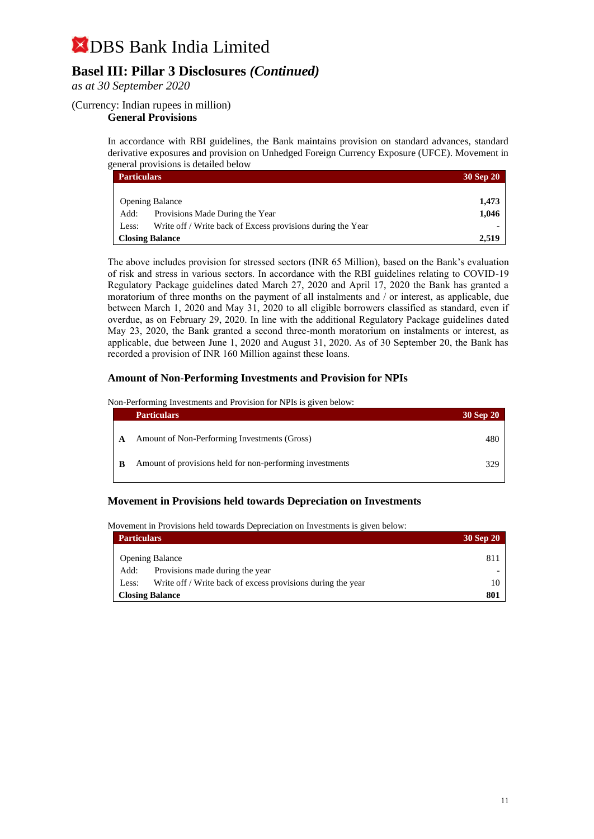## **Basel III: Pillar 3 Disclosures** *(Continued)*

*as at 30 September 2020*

#### (Currency: Indian rupees in million)

#### **General Provisions**

In accordance with RBI guidelines, the Bank maintains provision on standard advances, standard derivative exposures and provision on Unhedged Foreign Currency Exposure (UFCE). Movement in general provisions is detailed below

| <b>Particulars</b>                                                   | 30 Sep 20 |
|----------------------------------------------------------------------|-----------|
|                                                                      |           |
| <b>Opening Balance</b>                                               | 1,473     |
| Provisions Made During the Year<br>Add:                              | 1.046     |
| Write off / Write back of Excess provisions during the Year<br>Less: |           |
| <b>Closing Balance</b>                                               | 2,519     |

The above includes provision for stressed sectors (INR 65 Million), based on the Bank's evaluation of risk and stress in various sectors. In accordance with the RBI guidelines relating to COVID-19 Regulatory Package guidelines dated March 27, 2020 and April 17, 2020 the Bank has granted a moratorium of three months on the payment of all instalments and / or interest, as applicable, due between March 1, 2020 and May 31, 2020 to all eligible borrowers classified as standard, even if overdue, as on February 29, 2020. In line with the additional Regulatory Package guidelines dated May 23, 2020, the Bank granted a second three-month moratorium on instalments or interest, as applicable, due between June 1, 2020 and August 31, 2020. As of 30 September 20, the Bank has recorded a provision of INR 160 Million against these loans.

#### **Amount of Non-Performing Investments and Provision for NPIs**

Non-Performing Investments and Provision for NPIs is given below:

|   | <b>Particulars</b>                                       | 30 Sep 20 |
|---|----------------------------------------------------------|-----------|
| A | Amount of Non-Performing Investments (Gross)             | 480       |
| B | Amount of provisions held for non-performing investments | 329       |

#### **Movement in Provisions held towards Depreciation on Investments**

Movement in Provisions held towards Depreciation on Investments is given below:

| <b>Particulars</b>                                                   | 30 Sep 20 |
|----------------------------------------------------------------------|-----------|
| <b>Opening Balance</b>                                               | 811       |
| Provisions made during the year<br>Add:                              |           |
| Write off / Write back of excess provisions during the year<br>Less: | 10        |
| <b>Closing Balance</b>                                               | 801       |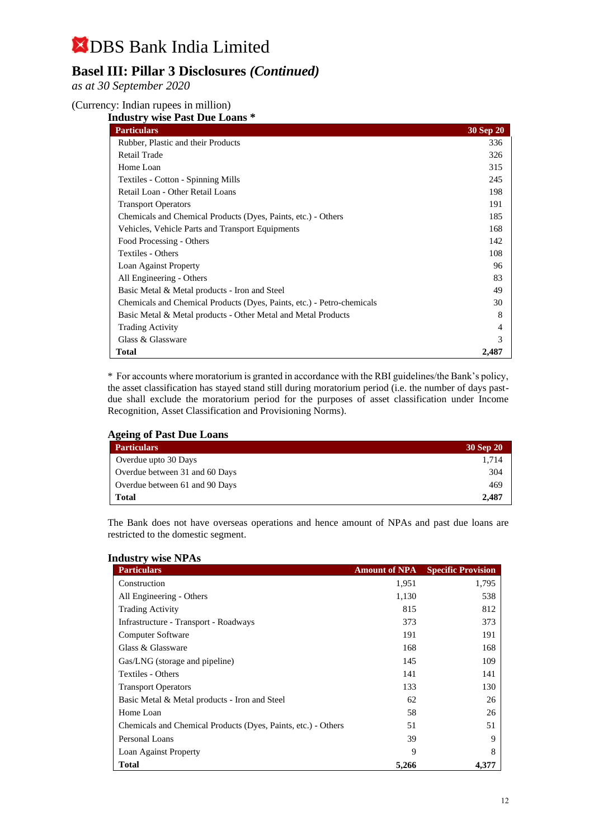## **Basel III: Pillar 3 Disclosures** *(Continued)*

*as at 30 September 2020*

(Currency: Indian rupees in million)

**Industry wise Past Due Loans \*** 

| <b>Particulars</b>                                                     | <b>30 Sep 20</b> |
|------------------------------------------------------------------------|------------------|
| Rubber, Plastic and their Products                                     | 336              |
| Retail Trade                                                           | 326              |
| Home Loan                                                              | 315              |
| Textiles - Cotton - Spinning Mills                                     | 245              |
| Retail Loan - Other Retail Loans                                       | 198              |
| <b>Transport Operators</b>                                             | 191              |
| Chemicals and Chemical Products (Dyes, Paints, etc.) - Others          | 185              |
| Vehicles, Vehicle Parts and Transport Equipments                       | 168              |
| Food Processing - Others                                               | 142              |
| Textiles - Others                                                      | 108              |
| Loan Against Property                                                  | 96               |
| All Engineering - Others                                               | 83               |
| Basic Metal & Metal products - Iron and Steel                          | 49               |
| Chemicals and Chemical Products (Dyes, Paints, etc.) - Petro-chemicals | 30               |
| Basic Metal & Metal products - Other Metal and Metal Products          | 8                |
| <b>Trading Activity</b>                                                |                  |
| Glass & Glassware                                                      |                  |
| <b>Total</b>                                                           | 2.487            |

\* For accounts where moratorium is granted in accordance with the RBI guidelines/the Bank's policy, the asset classification has stayed stand still during moratorium period (i.e. the number of days pastdue shall exclude the moratorium period for the purposes of asset classification under Income Recognition, Asset Classification and Provisioning Norms).

| <b>Ageing of Past Due Loans</b> |           |  |
|---------------------------------|-----------|--|
| <b>Particulars</b>              | 30 Sep 20 |  |
| Overdue upto 30 Days            | 1.714     |  |
| Overdue between 31 and 60 Days  | 304       |  |
| Overdue between 61 and 90 Days  | 469       |  |
| <b>Total</b>                    | 2.487     |  |

The Bank does not have overseas operations and hence amount of NPAs and past due loans are restricted to the domestic segment.

| <b>Industry wise NPAs</b>                                     |                      |                           |  |
|---------------------------------------------------------------|----------------------|---------------------------|--|
| <b>Particulars</b>                                            | <b>Amount of NPA</b> | <b>Specific Provision</b> |  |
| Construction                                                  | 1,951                | 1,795                     |  |
| All Engineering - Others                                      | 1,130                | 538                       |  |
| <b>Trading Activity</b>                                       | 815                  | 812                       |  |
| Infrastructure - Transport - Roadways                         | 373                  | 373                       |  |
| Computer Software                                             | 191                  | 191                       |  |
| Glass & Glassware                                             | 168                  | 168                       |  |
| Gas/LNG (storage and pipeline)                                | 145                  | 109                       |  |
| Textiles - Others                                             | 141                  | 141                       |  |
| <b>Transport Operators</b>                                    | 133                  | 130                       |  |
| Basic Metal & Metal products - Iron and Steel                 | 62                   | 26                        |  |
| Home Loan                                                     | 58                   | 26                        |  |
| Chemicals and Chemical Products (Dyes, Paints, etc.) - Others | 51                   | 51                        |  |
| Personal Loans                                                | 39                   | 9                         |  |
| Loan Against Property                                         | 9                    | 8                         |  |
| <b>Total</b>                                                  | 5,266                | 4,377                     |  |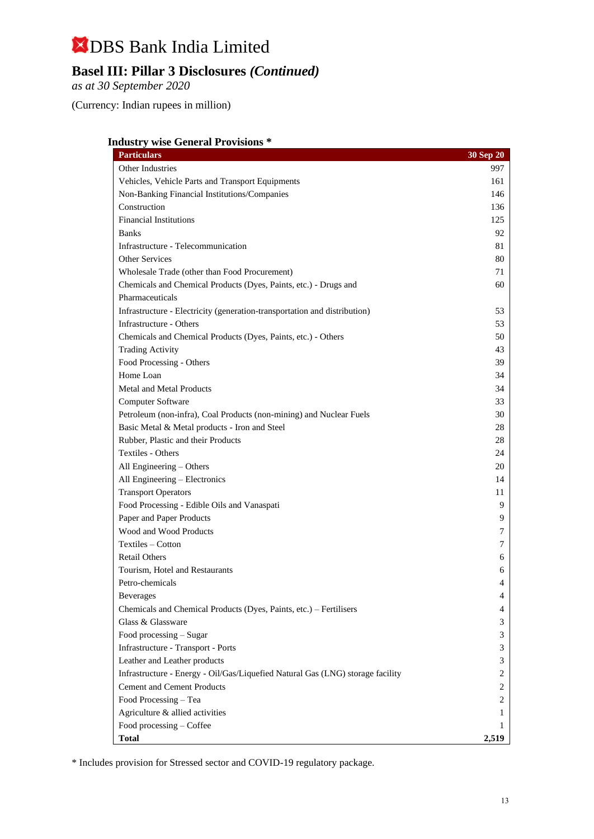## **Basel III: Pillar 3 Disclosures** *(Continued)*

*as at 30 September 2020*

(Currency: Indian rupees in million)

#### **Industry wise General Provisions \***

| <b>Particulars</b>                                                             | 30 Sep 20 |
|--------------------------------------------------------------------------------|-----------|
| Other Industries                                                               | 997       |
| Vehicles, Vehicle Parts and Transport Equipments                               | 161       |
| Non-Banking Financial Institutions/Companies                                   | 146       |
| Construction                                                                   | 136       |
| <b>Financial Institutions</b>                                                  | 125       |
| <b>Banks</b>                                                                   | 92        |
| Infrastructure - Telecommunication                                             | 81        |
| <b>Other Services</b>                                                          | 80        |
| Wholesale Trade (other than Food Procurement)                                  | 71        |
| Chemicals and Chemical Products (Dyes, Paints, etc.) - Drugs and               | 60        |
| Pharmaceuticals                                                                |           |
| Infrastructure - Electricity (generation-transportation and distribution)      | 53        |
| Infrastructure - Others                                                        | 53        |
| Chemicals and Chemical Products (Dyes, Paints, etc.) - Others                  | 50        |
| <b>Trading Activity</b>                                                        | 43        |
| Food Processing - Others                                                       | 39        |
| Home Loan                                                                      | 34        |
| Metal and Metal Products                                                       | 34        |
| Computer Software                                                              | 33        |
| Petroleum (non-infra), Coal Products (non-mining) and Nuclear Fuels            | 30        |
| Basic Metal & Metal products - Iron and Steel                                  | 28        |
| Rubber, Plastic and their Products                                             | 28        |
| Textiles - Others                                                              | 24        |
| All Engineering - Others                                                       | 20        |
| All Engineering - Electronics                                                  | 14        |
| <b>Transport Operators</b>                                                     | 11        |
| Food Processing - Edible Oils and Vanaspati                                    | 9         |
| Paper and Paper Products                                                       | 9         |
| Wood and Wood Products                                                         | 7         |
| Textiles – Cotton                                                              | 7         |
| <b>Retail Others</b>                                                           | 6         |
| Tourism, Hotel and Restaurants                                                 | 6         |
| Petro-chemicals                                                                | 4         |
| <b>Beverages</b>                                                               | 4         |
| Chemicals and Chemical Products (Dyes, Paints, etc.) – Fertilisers             | 4         |
| Glass & Glassware                                                              | 3         |
| Food processing – Sugar                                                        | 3         |
| Infrastructure - Transport - Ports                                             | 3         |
| Leather and Leather products                                                   | 3         |
| Infrastructure - Energy - Oil/Gas/Liquefied Natural Gas (LNG) storage facility | 2         |
| <b>Cement and Cement Products</b>                                              | 2         |
| Food Processing - Tea                                                          | 2         |
| Agriculture & allied activities                                                | 1         |
| Food processing - Coffee                                                       | 1         |
| Total                                                                          | 2,519     |

\* Includes provision for Stressed sector and COVID-19 regulatory package.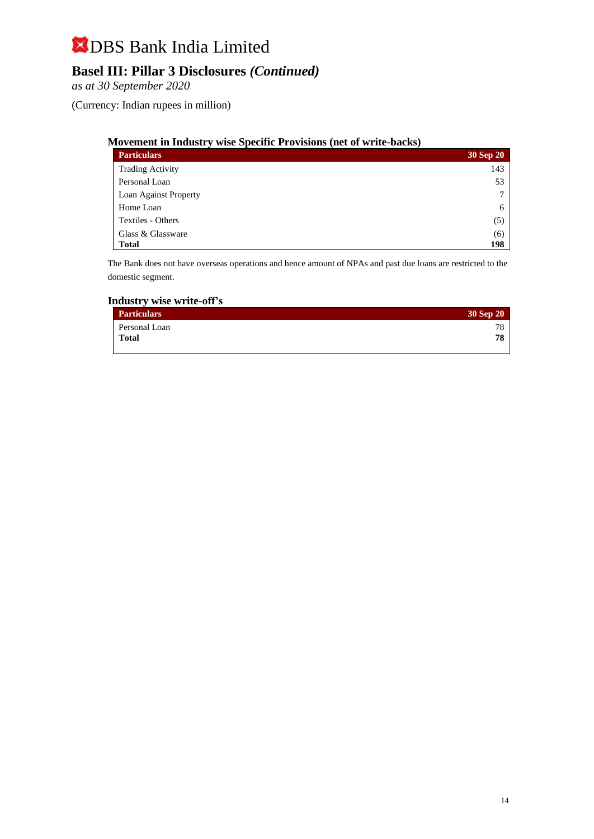## **Basel III: Pillar 3 Disclosures** *(Continued)*

*as at 30 September 2020*

(Currency: Indian rupees in million)

#### **Movement in Industry wise Specific Provisions (net of write-backs)**

| <b>Particulars</b>           | 30 Sep 20 |
|------------------------------|-----------|
| <b>Trading Activity</b>      | 143       |
| Personal Loan                | 53        |
| <b>Loan Against Property</b> | 7         |
| Home Loan                    | 6         |
| Textiles - Others            | (5)       |
| Glass & Glassware            | (6)       |
| <b>Total</b>                 | 198       |

The Bank does not have overseas operations and hence amount of NPAs and past due loans are restricted to the domestic segment.

#### **Industry wise write-off's**

| Particulars   | 30 Sep 20 |
|---------------|-----------|
| Personal Loan | 78        |
| Total         | 78        |
|               |           |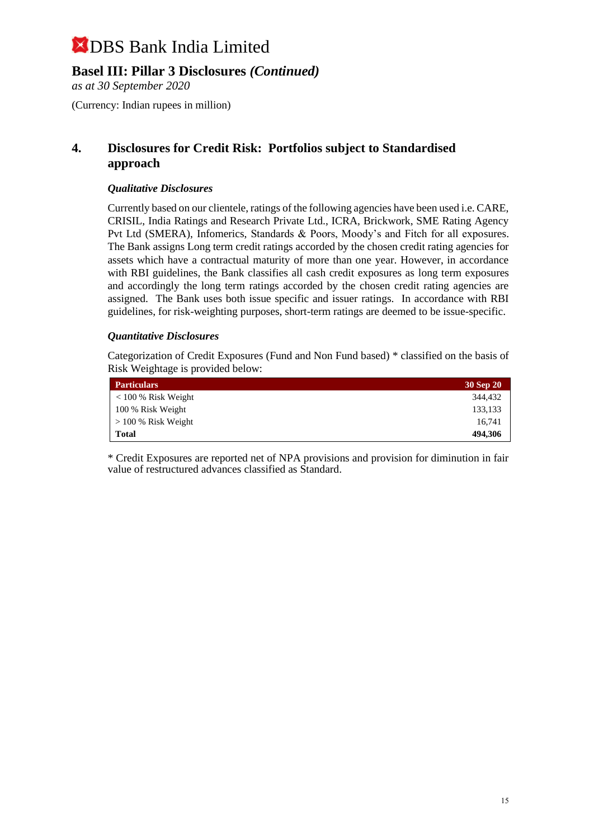### **Basel III: Pillar 3 Disclosures** *(Continued)*

*as at 30 September 2020*

(Currency: Indian rupees in million)

### **4. Disclosures for Credit Risk: Portfolios subject to Standardised approach**

#### *Qualitative Disclosures*

Currently based on our clientele, ratings of the following agencies have been used i.e. CARE, CRISIL, India Ratings and Research Private Ltd., ICRA, Brickwork, SME Rating Agency Pvt Ltd (SMERA), Infomerics, Standards & Poors, Moody's and Fitch for all exposures. The Bank assigns Long term credit ratings accorded by the chosen credit rating agencies for assets which have a contractual maturity of more than one year. However, in accordance with RBI guidelines, the Bank classifies all cash credit exposures as long term exposures and accordingly the long term ratings accorded by the chosen credit rating agencies are assigned. The Bank uses both issue specific and issuer ratings. In accordance with RBI guidelines, for risk-weighting purposes, short-term ratings are deemed to be issue-specific.

#### *Quantitative Disclosures*

Categorization of Credit Exposures (Fund and Non Fund based) \* classified on the basis of Risk Weightage is provided below:

| <b>Particulars</b>       | 30 Sep 20 |
|--------------------------|-----------|
| $< 100 %$ Risk Weight    | 344.432   |
| 100 % Risk Weight        | 133,133   |
| $\geq$ 100 % Risk Weight | 16.741    |
| <b>Total</b>             | 494,306   |

\* Credit Exposures are reported net of NPA provisions and provision for diminution in fair value of restructured advances classified as Standard.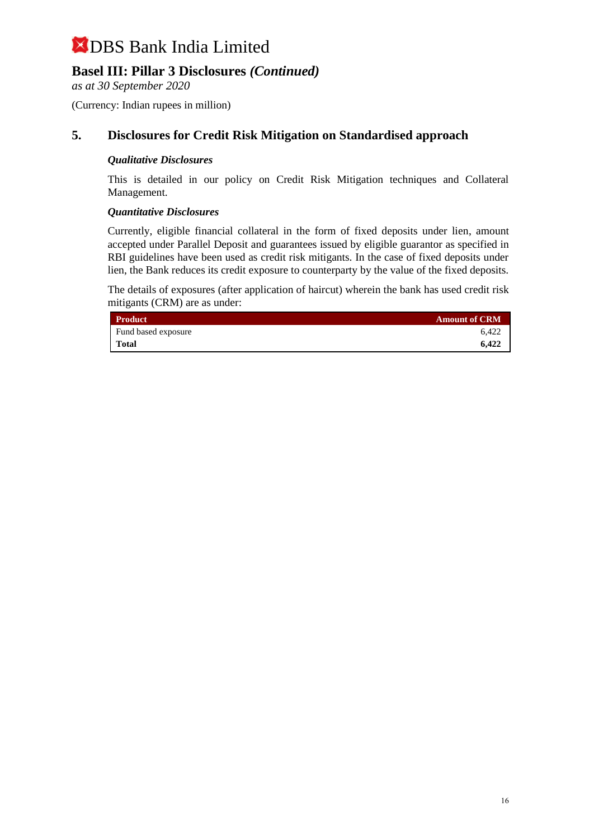## **Basel III: Pillar 3 Disclosures** *(Continued)*

*as at 30 September 2020*

(Currency: Indian rupees in million)

### **5. Disclosures for Credit Risk Mitigation on Standardised approach**

#### *Qualitative Disclosures*

This is detailed in our policy on Credit Risk Mitigation techniques and Collateral Management.

#### *Quantitative Disclosures*

Currently, eligible financial collateral in the form of fixed deposits under lien, amount accepted under Parallel Deposit and guarantees issued by eligible guarantor as specified in RBI guidelines have been used as credit risk mitigants. In the case of fixed deposits under lien, the Bank reduces its credit exposure to counterparty by the value of the fixed deposits.

The details of exposures (after application of haircut) wherein the bank has used credit risk mitigants (CRM) are as under:

| <b>Product</b>      | <b>Amount of CRM</b> |
|---------------------|----------------------|
| Fund based exposure | 6.422                |
| Total               | 6.422                |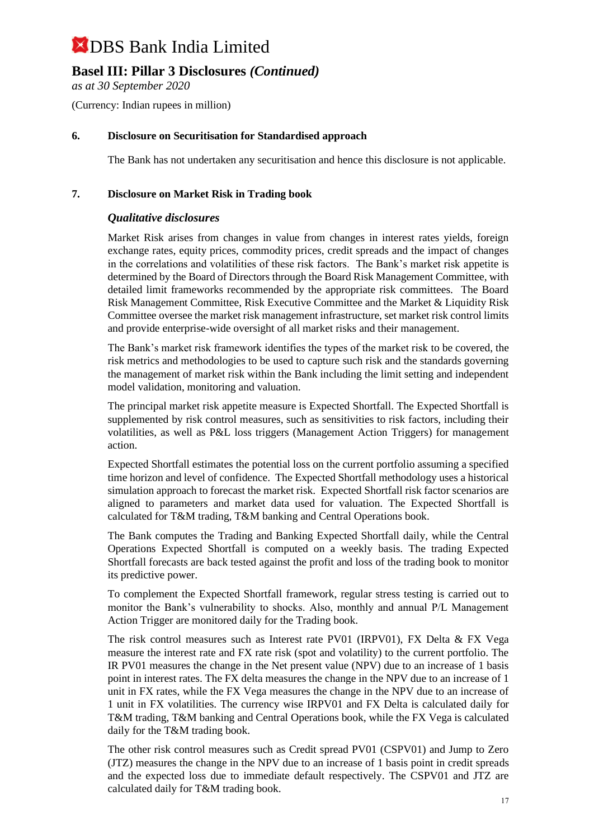## **Basel III: Pillar 3 Disclosures** *(Continued)*

*as at 30 September 2020*

(Currency: Indian rupees in million)

#### **6. Disclosure on Securitisation for Standardised approach**

The Bank has not undertaken any securitisation and hence this disclosure is not applicable.

#### **7. Disclosure on Market Risk in Trading book**

#### *Qualitative disclosures*

Market Risk arises from changes in value from changes in interest rates yields, foreign exchange rates, equity prices, commodity prices, credit spreads and the impact of changes in the correlations and volatilities of these risk factors. The Bank's market risk appetite is determined by the Board of Directors through the Board Risk Management Committee, with detailed limit frameworks recommended by the appropriate risk committees. The Board Risk Management Committee, Risk Executive Committee and the Market & Liquidity Risk Committee oversee the market risk management infrastructure, set market risk control limits and provide enterprise-wide oversight of all market risks and their management.

The Bank's market risk framework identifies the types of the market risk to be covered, the risk metrics and methodologies to be used to capture such risk and the standards governing the management of market risk within the Bank including the limit setting and independent model validation, monitoring and valuation.

The principal market risk appetite measure is Expected Shortfall. The Expected Shortfall is supplemented by risk control measures, such as sensitivities to risk factors, including their volatilities, as well as P&L loss triggers (Management Action Triggers) for management action.

Expected Shortfall estimates the potential loss on the current portfolio assuming a specified time horizon and level of confidence. The Expected Shortfall methodology uses a historical simulation approach to forecast the market risk. Expected Shortfall risk factor scenarios are aligned to parameters and market data used for valuation. The Expected Shortfall is calculated for T&M trading, T&M banking and Central Operations book.

The Bank computes the Trading and Banking Expected Shortfall daily, while the Central Operations Expected Shortfall is computed on a weekly basis. The trading Expected Shortfall forecasts are back tested against the profit and loss of the trading book to monitor its predictive power.

To complement the Expected Shortfall framework, regular stress testing is carried out to monitor the Bank's vulnerability to shocks. Also, monthly and annual P/L Management Action Trigger are monitored daily for the Trading book.

The risk control measures such as Interest rate PV01 (IRPV01), FX Delta & FX Vega measure the interest rate and FX rate risk (spot and volatility) to the current portfolio. The IR PV01 measures the change in the Net present value (NPV) due to an increase of 1 basis point in interest rates. The FX delta measures the change in the NPV due to an increase of 1 unit in FX rates, while the FX Vega measures the change in the NPV due to an increase of 1 unit in FX volatilities. The currency wise IRPV01 and FX Delta is calculated daily for T&M trading, T&M banking and Central Operations book, while the FX Vega is calculated daily for the T&M trading book.

The other risk control measures such as Credit spread PV01 (CSPV01) and Jump to Zero (JTZ) measures the change in the NPV due to an increase of 1 basis point in credit spreads and the expected loss due to immediate default respectively. The CSPV01 and JTZ are calculated daily for T&M trading book.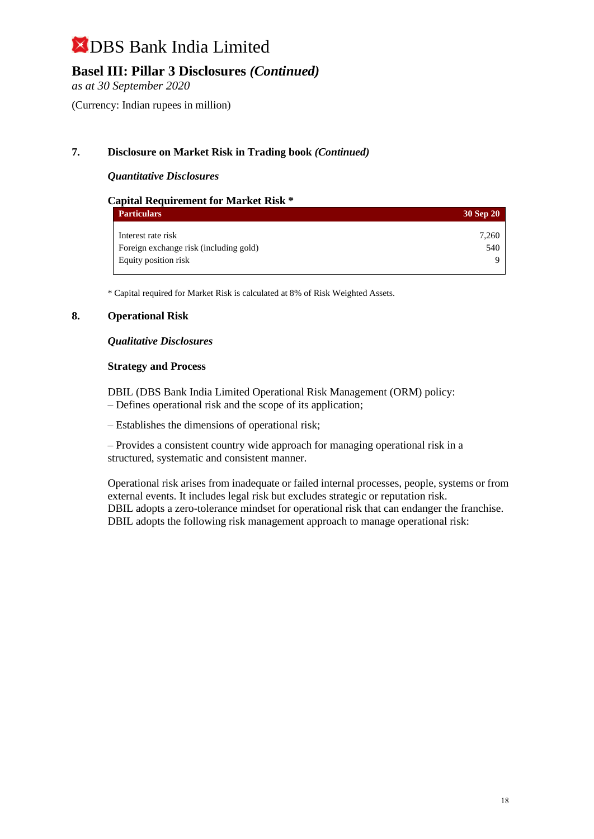## **Basel III: Pillar 3 Disclosures** *(Continued)*

*as at 30 September 2020*

(Currency: Indian rupees in million)

#### **7. Disclosure on Market Risk in Trading book** *(Continued)*

#### *Quantitative Disclosures*

| <b>Capital Requirement for Market Risk *</b> |           |
|----------------------------------------------|-----------|
| <b>Particulars</b>                           | 30 Sep 20 |
| Interest rate risk                           | 7,260     |
| Foreign exchange risk (including gold)       | 540       |
| Equity position risk                         | Q         |

\* Capital required for Market Risk is calculated at 8% of Risk Weighted Assets.

#### **8. Operational Risk**

#### *Qualitative Disclosures*

#### **Strategy and Process**

DBIL (DBS Bank India Limited Operational Risk Management (ORM) policy: – Defines operational risk and the scope of its application;

– Establishes the dimensions of operational risk;

– Provides a consistent country wide approach for managing operational risk in a structured, systematic and consistent manner.

Operational risk arises from inadequate or failed internal processes, people, systems or from external events. It includes legal risk but excludes strategic or reputation risk. DBIL adopts a zero-tolerance mindset for operational risk that can endanger the franchise. DBIL adopts the following risk management approach to manage operational risk: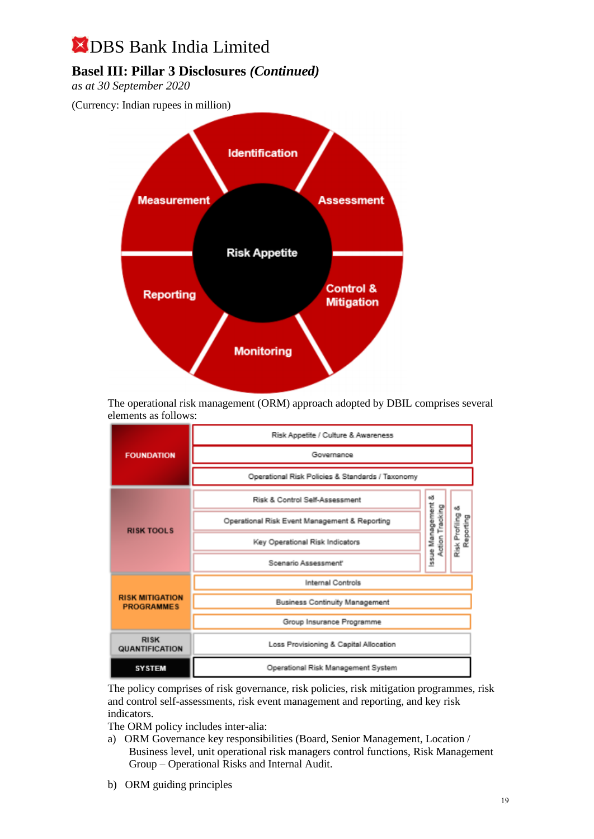## **Basel III: Pillar 3 Disclosures** *(Continued)*

*as at 30 September 2020*

(Currency: Indian rupees in million)



The operational risk management (ORM) approach adopted by DBIL comprises several elements as follows:

|                                             | Risk Appetite / Culture & Awareness              |                              |                |
|---------------------------------------------|--------------------------------------------------|------------------------------|----------------|
| <b>FOUNDATION</b>                           | Governance                                       |                              |                |
|                                             | Operational Risk Policies & Standards / Taxonomy |                              |                |
|                                             | Risk & Control Self-Assessment                   | еð                           | вð             |
| <b>RISK TOOLS</b>                           | Operational Risk Event Management & Reporting    | Issue Management<br>Tracking | Reporting      |
|                                             | Key Operational Risk Indicators                  | Action                       | Risk Profiling |
|                                             | Scenario Assessment'                             |                              |                |
|                                             | Internal Controls                                |                              |                |
| <b>RISK MITIGATION</b><br><b>PROGRAMMES</b> | <b>Business Continuity Management</b>            |                              |                |
|                                             | Group Insurance Programme                        |                              |                |
| <b>RISK</b><br>QUANTIFICATION               | Loss Provisioning & Capital Allocation           |                              |                |
| <b>SYSTEM</b>                               | Operational Risk Management System               |                              |                |

The policy comprises of risk governance, risk policies, risk mitigation programmes, risk and control self-assessments, risk event management and reporting, and key risk indicators.

The ORM policy includes inter-alia:

- a) ORM Governance key responsibilities (Board, Senior Management, Location / Business level, unit operational risk managers control functions, Risk Management Group – Operational Risks and Internal Audit.
- b) ORM guiding principles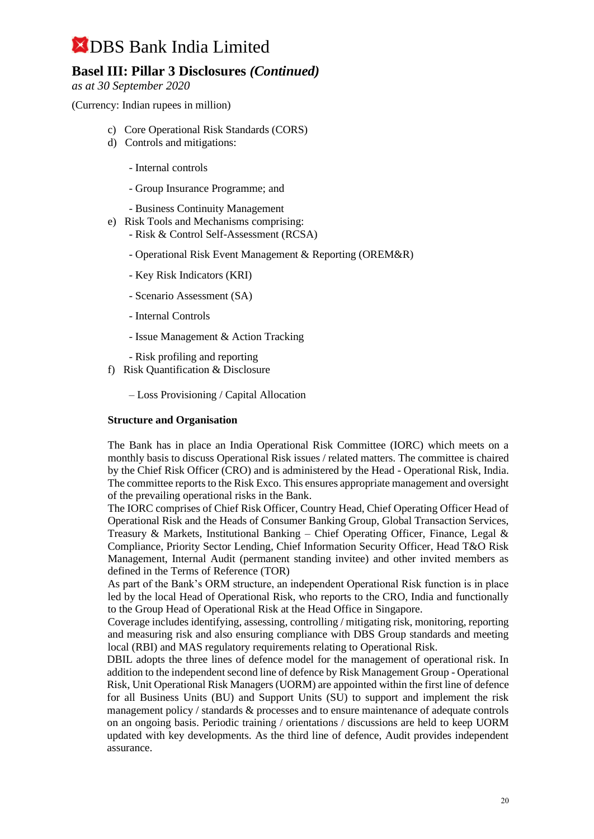## **Basel III: Pillar 3 Disclosures** *(Continued)*

*as at 30 September 2020*

(Currency: Indian rupees in million)

- c) Core Operational Risk Standards (CORS)
- d) Controls and mitigations:
	- Internal controls
	- Group Insurance Programme; and
	- Business Continuity Management
- e) Risk Tools and Mechanisms comprising: - Risk & Control Self-Assessment (RCSA)
	- Operational Risk Event Management & Reporting (OREM&R)
	- Key Risk Indicators (KRI)
	- Scenario Assessment (SA)
	- Internal Controls
	- Issue Management & Action Tracking
	- Risk profiling and reporting
- f) Risk Quantification & Disclosure
	- Loss Provisioning / Capital Allocation

#### **Structure and Organisation**

The Bank has in place an India Operational Risk Committee (IORC) which meets on a monthly basis to discuss Operational Risk issues / related matters. The committee is chaired by the Chief Risk Officer (CRO) and is administered by the Head - Operational Risk, India. The committee reports to the Risk Exco. This ensures appropriate management and oversight of the prevailing operational risks in the Bank.

The IORC comprises of Chief Risk Officer, Country Head, Chief Operating Officer Head of Operational Risk and the Heads of Consumer Banking Group, Global Transaction Services, Treasury & Markets, Institutional Banking – Chief Operating Officer, Finance, Legal & Compliance, Priority Sector Lending, Chief Information Security Officer, Head T&O Risk Management, Internal Audit (permanent standing invitee) and other invited members as defined in the Terms of Reference (TOR)

As part of the Bank's ORM structure, an independent Operational Risk function is in place led by the local Head of Operational Risk, who reports to the CRO, India and functionally to the Group Head of Operational Risk at the Head Office in Singapore.

Coverage includes identifying, assessing, controlling / mitigating risk, monitoring, reporting and measuring risk and also ensuring compliance with DBS Group standards and meeting local (RBI) and MAS regulatory requirements relating to Operational Risk.

DBIL adopts the three lines of defence model for the management of operational risk. In addition to the independent second line of defence by Risk Management Group - Operational Risk, Unit Operational Risk Managers (UORM) are appointed within the first line of defence for all Business Units (BU) and Support Units (SU) to support and implement the risk management policy / standards & processes and to ensure maintenance of adequate controls on an ongoing basis. Periodic training / orientations / discussions are held to keep UORM updated with key developments. As the third line of defence, Audit provides independent assurance.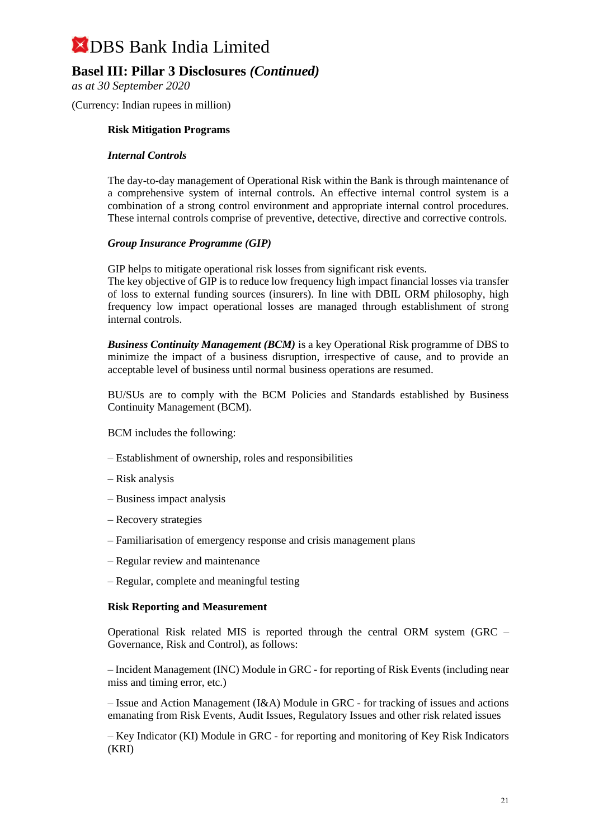## **Basel III: Pillar 3 Disclosures** *(Continued)*

*as at 30 September 2020*

(Currency: Indian rupees in million)

#### **Risk Mitigation Programs**

#### *Internal Controls*

The day-to-day management of Operational Risk within the Bank is through maintenance of a comprehensive system of internal controls. An effective internal control system is a combination of a strong control environment and appropriate internal control procedures. These internal controls comprise of preventive, detective, directive and corrective controls.

#### *Group Insurance Programme (GIP)*

GIP helps to mitigate operational risk losses from significant risk events.

The key objective of GIP is to reduce low frequency high impact financial losses via transfer of loss to external funding sources (insurers). In line with DBIL ORM philosophy, high frequency low impact operational losses are managed through establishment of strong internal controls.

*Business Continuity Management (BCM)* is a key Operational Risk programme of DBS to minimize the impact of a business disruption, irrespective of cause, and to provide an acceptable level of business until normal business operations are resumed.

BU/SUs are to comply with the BCM Policies and Standards established by Business Continuity Management (BCM).

BCM includes the following:

- Establishment of ownership, roles and responsibilities
- Risk analysis
- Business impact analysis
- Recovery strategies
- Familiarisation of emergency response and crisis management plans
- Regular review and maintenance
- Regular, complete and meaningful testing

#### **Risk Reporting and Measurement**

Operational Risk related MIS is reported through the central ORM system (GRC – Governance, Risk and Control), as follows:

– Incident Management (INC) Module in GRC - for reporting of Risk Events (including near miss and timing error, etc.)

– Issue and Action Management (I&A) Module in GRC - for tracking of issues and actions emanating from Risk Events, Audit Issues, Regulatory Issues and other risk related issues

– Key Indicator (KI) Module in GRC - for reporting and monitoring of Key Risk Indicators (KRI)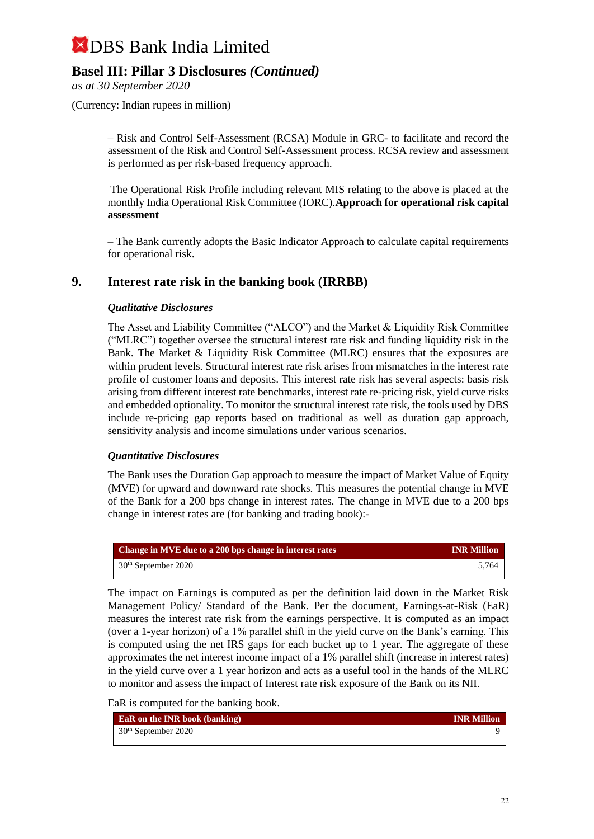## **Basel III: Pillar 3 Disclosures** *(Continued)*

*as at 30 September 2020*

(Currency: Indian rupees in million)

– Risk and Control Self-Assessment (RCSA) Module in GRC- to facilitate and record the assessment of the Risk and Control Self-Assessment process. RCSA review and assessment is performed as per risk-based frequency approach.

The Operational Risk Profile including relevant MIS relating to the above is placed at the monthly India Operational Risk Committee (IORC).**Approach for operational risk capital assessment** 

– The Bank currently adopts the Basic Indicator Approach to calculate capital requirements for operational risk.

### **9. Interest rate risk in the banking book (IRRBB)**

#### *Qualitative Disclosures*

The Asset and Liability Committee ("ALCO") and the Market & Liquidity Risk Committee ("MLRC") together oversee the structural interest rate risk and funding liquidity risk in the Bank. The Market & Liquidity Risk Committee (MLRC) ensures that the exposures are within prudent levels. Structural interest rate risk arises from mismatches in the interest rate profile of customer loans and deposits. This interest rate risk has several aspects: basis risk arising from different interest rate benchmarks, interest rate re-pricing risk, yield curve risks and embedded optionality. To monitor the structural interest rate risk, the tools used by DBS include re-pricing gap reports based on traditional as well as duration gap approach, sensitivity analysis and income simulations under various scenarios.

#### *Quantitative Disclosures*

The Bank uses the Duration Gap approach to measure the impact of Market Value of Equity (MVE) for upward and downward rate shocks. This measures the potential change in MVE of the Bank for a 200 bps change in interest rates. The change in MVE due to a 200 bps change in interest rates are (for banking and trading book):-

| Change in MVE due to a 200 bps change in interest rates | <b>INR Million</b> |
|---------------------------------------------------------|--------------------|
| $30th$ September 2020                                   | 5.764              |

The impact on Earnings is computed as per the definition laid down in the Market Risk Management Policy/ Standard of the Bank. Per the document, Earnings-at-Risk (EaR) measures the interest rate risk from the earnings perspective. It is computed as an impact (over a 1-year horizon) of a 1% parallel shift in the yield curve on the Bank's earning. This is computed using the net IRS gaps for each bucket up to 1 year. The aggregate of these approximates the net interest income impact of a 1% parallel shift (increase in interest rates) in the yield curve over a 1 year horizon and acts as a useful tool in the hands of the MLRC to monitor and assess the impact of Interest rate risk exposure of the Bank on its NII.

EaR is computed for the banking book.

| <b>EaR</b> on the INR book (banking) | <b>INR Million</b> |
|--------------------------------------|--------------------|
| $30th$ September 2020                |                    |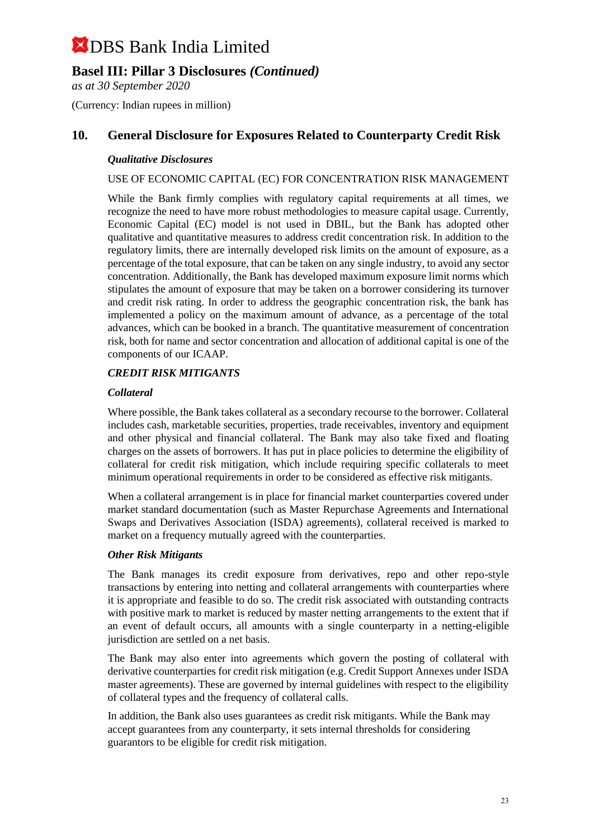## **Basel III: Pillar 3 Disclosures** *(Continued)*

*as at 30 September 2020*

(Currency: Indian rupees in million)

## **10. General Disclosure for Exposures Related to Counterparty Credit Risk**

#### *Qualitative Disclosures*

#### USE OF ECONOMIC CAPITAL (EC) FOR CONCENTRATION RISK MANAGEMENT

While the Bank firmly complies with regulatory capital requirements at all times, we recognize the need to have more robust methodologies to measure capital usage. Currently, Economic Capital (EC) model is not used in DBIL, but the Bank has adopted other qualitative and quantitative measures to address credit concentration risk. In addition to the regulatory limits, there are internally developed risk limits on the amount of exposure, as a percentage of the total exposure, that can be taken on any single industry, to avoid any sector concentration. Additionally, the Bank has developed maximum exposure limit norms which stipulates the amount of exposure that may be taken on a borrower considering its turnover and credit risk rating. In order to address the geographic concentration risk, the bank has implemented a policy on the maximum amount of advance, as a percentage of the total advances, which can be booked in a branch. The quantitative measurement of concentration risk, both for name and sector concentration and allocation of additional capital is one of the components of our ICAAP.

#### *CREDIT RISK MITIGANTS*

#### *Collateral*

Where possible, the Bank takes collateral as a secondary recourse to the borrower. Collateral includes cash, marketable securities, properties, trade receivables, inventory and equipment and other physical and financial collateral. The Bank may also take fixed and floating charges on the assets of borrowers. It has put in place policies to determine the eligibility of collateral for credit risk mitigation, which include requiring specific collaterals to meet minimum operational requirements in order to be considered as effective risk mitigants.

When a collateral arrangement is in place for financial market counterparties covered under market standard documentation (such as Master Repurchase Agreements and International Swaps and Derivatives Association (ISDA) agreements), collateral received is marked to market on a frequency mutually agreed with the counterparties.

#### *Other Risk Mitigants*

The Bank manages its credit exposure from derivatives, repo and other repo-style transactions by entering into netting and collateral arrangements with counterparties where it is appropriate and feasible to do so. The credit risk associated with outstanding contracts with positive mark to market is reduced by master netting arrangements to the extent that if an event of default occurs, all amounts with a single counterparty in a netting-eligible jurisdiction are settled on a net basis.

The Bank may also enter into agreements which govern the posting of collateral with derivative counterparties for credit risk mitigation (e.g. Credit Support Annexes under ISDA master agreements). These are governed by internal guidelines with respect to the eligibility of collateral types and the frequency of collateral calls.

In addition, the Bank also uses guarantees as credit risk mitigants. While the Bank may accept guarantees from any counterparty, it sets internal thresholds for considering guarantors to be eligible for credit risk mitigation.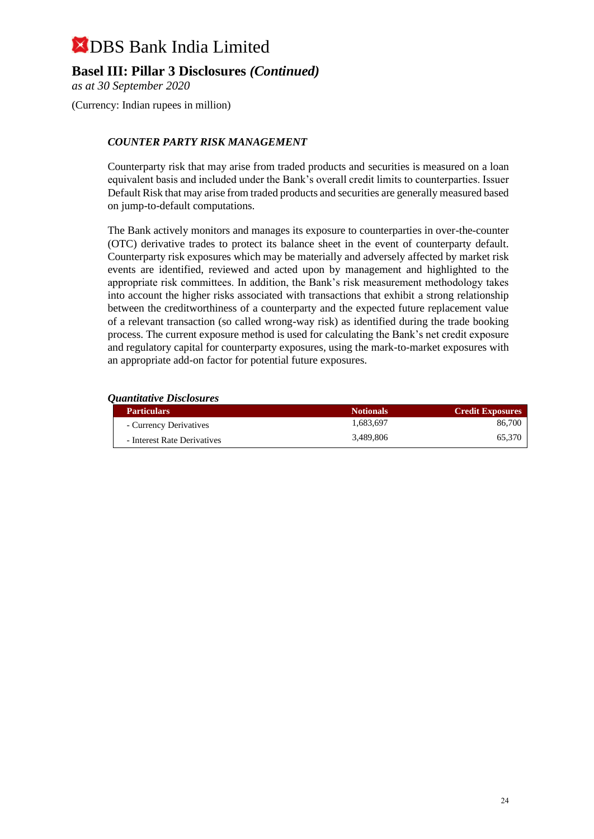## **Basel III: Pillar 3 Disclosures** *(Continued)*

*as at 30 September 2020*

(Currency: Indian rupees in million)

#### *COUNTER PARTY RISK MANAGEMENT*

Counterparty risk that may arise from traded products and securities is measured on a loan equivalent basis and included under the Bank's overall credit limits to counterparties. Issuer Default Risk that may arise from traded products and securities are generally measured based on jump-to-default computations.

The Bank actively monitors and manages its exposure to counterparties in over-the-counter (OTC) derivative trades to protect its balance sheet in the event of counterparty default. Counterparty risk exposures which may be materially and adversely affected by market risk events are identified, reviewed and acted upon by management and highlighted to the appropriate risk committees. In addition, the Bank's risk measurement methodology takes into account the higher risks associated with transactions that exhibit a strong relationship between the creditworthiness of a counterparty and the expected future replacement value of a relevant transaction (so called wrong-way risk) as identified during the trade booking process. The current exposure method is used for calculating the Bank's net credit exposure and regulatory capital for counterparty exposures, using the mark-to-market exposures with an appropriate add-on factor for potential future exposures.

#### *Quantitative Disclosures*

| <b>Particulars</b>          | <b>Notionals</b> | <b>Credit Exposures</b> |
|-----------------------------|------------------|-------------------------|
| - Currency Derivatives      | 1.683.697        | 86,700                  |
| - Interest Rate Derivatives | 3.489.806        | 65,370                  |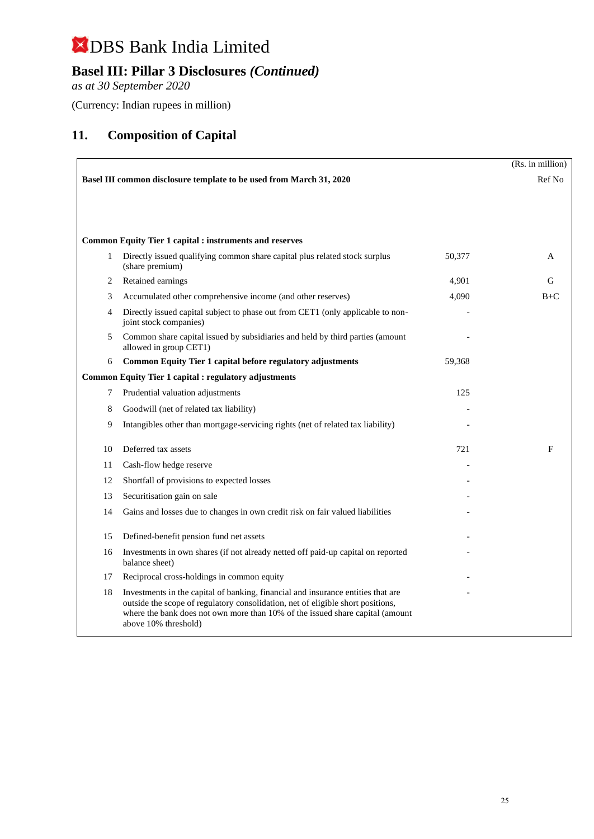## **Basel III: Pillar 3 Disclosures** *(Continued)*

*as at 30 September 2020*

(Currency: Indian rupees in million)

## **11. Composition of Capital**

|    |                                                                                                                                                                                                                                                                              |        | (Rs. in million) |
|----|------------------------------------------------------------------------------------------------------------------------------------------------------------------------------------------------------------------------------------------------------------------------------|--------|------------------|
|    | Basel III common disclosure template to be used from March 31, 2020                                                                                                                                                                                                          |        | Ref No           |
|    |                                                                                                                                                                                                                                                                              |        |                  |
|    |                                                                                                                                                                                                                                                                              |        |                  |
|    | <b>Common Equity Tier 1 capital : instruments and reserves</b>                                                                                                                                                                                                               |        |                  |
| 1  | Directly issued qualifying common share capital plus related stock surplus<br>(share premium)                                                                                                                                                                                | 50,377 | A                |
| 2  | Retained earnings                                                                                                                                                                                                                                                            | 4,901  | G                |
| 3  | Accumulated other comprehensive income (and other reserves)                                                                                                                                                                                                                  | 4,090  | $B+C$            |
| 4  | Directly issued capital subject to phase out from CET1 (only applicable to non-<br>joint stock companies)                                                                                                                                                                    |        |                  |
| 5  | Common share capital issued by subsidiaries and held by third parties (amount<br>allowed in group CET1)                                                                                                                                                                      |        |                  |
| 6  | Common Equity Tier 1 capital before regulatory adjustments                                                                                                                                                                                                                   | 59,368 |                  |
|    | <b>Common Equity Tier 1 capital : regulatory adjustments</b>                                                                                                                                                                                                                 |        |                  |
| 7  | Prudential valuation adjustments                                                                                                                                                                                                                                             | 125    |                  |
| 8  | Goodwill (net of related tax liability)                                                                                                                                                                                                                                      |        |                  |
| 9  | Intangibles other than mortgage-servicing rights (net of related tax liability)                                                                                                                                                                                              |        |                  |
| 10 | Deferred tax assets                                                                                                                                                                                                                                                          | 721    | F                |
| 11 | Cash-flow hedge reserve                                                                                                                                                                                                                                                      |        |                  |
| 12 | Shortfall of provisions to expected losses                                                                                                                                                                                                                                   |        |                  |
| 13 | Securitisation gain on sale                                                                                                                                                                                                                                                  |        |                  |
| 14 | Gains and losses due to changes in own credit risk on fair valued liabilities                                                                                                                                                                                                |        |                  |
| 15 | Defined-benefit pension fund net assets                                                                                                                                                                                                                                      |        |                  |
| 16 | Investments in own shares (if not already netted off paid-up capital on reported<br>balance sheet)                                                                                                                                                                           |        |                  |
| 17 | Reciprocal cross-holdings in common equity                                                                                                                                                                                                                                   |        |                  |
| 18 | Investments in the capital of banking, financial and insurance entities that are<br>outside the scope of regulatory consolidation, net of eligible short positions,<br>where the bank does not own more than 10% of the issued share capital (amount<br>above 10% threshold) |        |                  |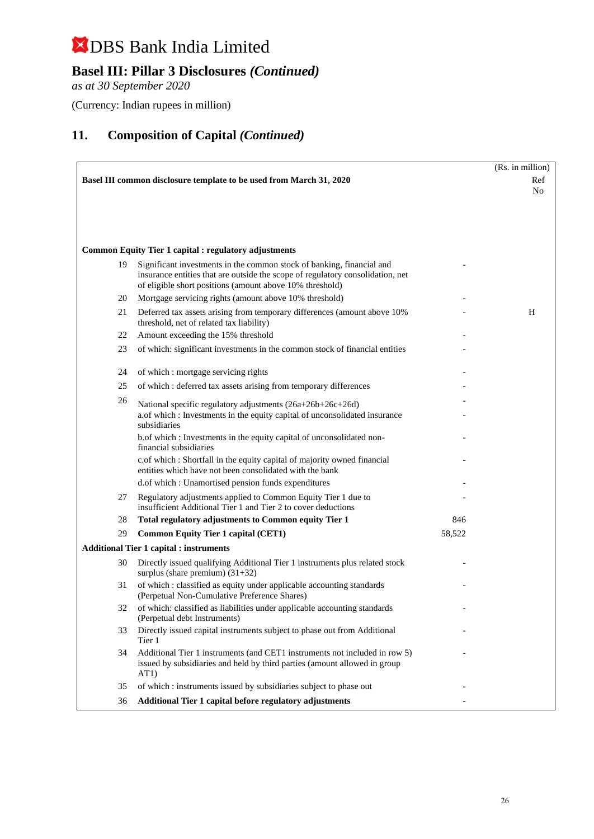## **Basel III: Pillar 3 Disclosures** *(Continued)*

*as at 30 September 2020*

(Currency: Indian rupees in million)

|    |                                                                                                                                                                                                                     |        | (Rs. in million) |
|----|---------------------------------------------------------------------------------------------------------------------------------------------------------------------------------------------------------------------|--------|------------------|
|    | Basel III common disclosure template to be used from March 31, 2020                                                                                                                                                 |        | Ref              |
|    |                                                                                                                                                                                                                     |        | No               |
|    |                                                                                                                                                                                                                     |        |                  |
|    |                                                                                                                                                                                                                     |        |                  |
|    |                                                                                                                                                                                                                     |        |                  |
|    | <b>Common Equity Tier 1 capital : regulatory adjustments</b>                                                                                                                                                        |        |                  |
| 19 | Significant investments in the common stock of banking, financial and<br>insurance entities that are outside the scope of regulatory consolidation, net<br>of eligible short positions (amount above 10% threshold) |        |                  |
| 20 | Mortgage servicing rights (amount above 10% threshold)                                                                                                                                                              |        |                  |
| 21 | Deferred tax assets arising from temporary differences (amount above 10%)<br>threshold, net of related tax liability)                                                                                               |        | H                |
| 22 | Amount exceeding the 15% threshold                                                                                                                                                                                  |        |                  |
| 23 | of which: significant investments in the common stock of financial entities                                                                                                                                         |        |                  |
| 24 | of which: mortgage servicing rights                                                                                                                                                                                 |        |                  |
| 25 | of which : deferred tax assets arising from temporary differences                                                                                                                                                   |        |                  |
| 26 | National specific regulatory adjustments (26a+26b+26c+26d)<br>a.of which : Investments in the equity capital of unconsolidated insurance<br>subsidiaries                                                            |        |                  |
|    | b.of which: Investments in the equity capital of unconsolidated non-<br>financial subsidiaries                                                                                                                      |        |                  |
|    | c.of which : Shortfall in the equity capital of majority owned financial<br>entities which have not been consolidated with the bank                                                                                 |        |                  |
|    | d.of which : Unamortised pension funds expenditures                                                                                                                                                                 |        |                  |
| 27 | Regulatory adjustments applied to Common Equity Tier 1 due to<br>insufficient Additional Tier 1 and Tier 2 to cover deductions                                                                                      |        |                  |
| 28 | Total regulatory adjustments to Common equity Tier 1                                                                                                                                                                | 846    |                  |
| 29 | <b>Common Equity Tier 1 capital (CET1)</b>                                                                                                                                                                          | 58,522 |                  |
|    | <b>Additional Tier 1 capital : instruments</b>                                                                                                                                                                      |        |                  |
| 30 | Directly issued qualifying Additional Tier 1 instruments plus related stock<br>surplus (share premium) $(31+32)$                                                                                                    |        |                  |
| 31 | of which : classified as equity under applicable accounting standards<br>(Perpetual Non-Cumulative Preference Shares)                                                                                               |        |                  |
| 32 | of which: classified as liabilities under applicable accounting standards<br>(Perpetual debt Instruments)                                                                                                           |        |                  |
| 33 | Directly issued capital instruments subject to phase out from Additional<br>Tier 1                                                                                                                                  |        |                  |
| 34 | Additional Tier 1 instruments (and CET1 instruments not included in row 5)<br>issued by subsidiaries and held by third parties (amount allowed in group<br>AT1)                                                     |        |                  |
| 35 | of which : instruments issued by subsidiaries subject to phase out                                                                                                                                                  |        |                  |
| 36 | Additional Tier 1 capital before regulatory adjustments                                                                                                                                                             |        |                  |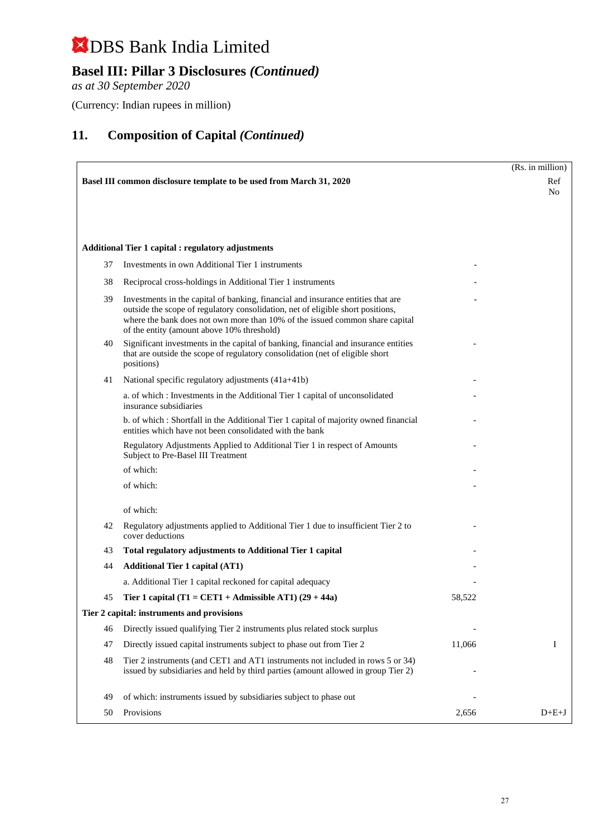## **Basel III: Pillar 3 Disclosures** *(Continued)*

*as at 30 September 2020*

(Currency: Indian rupees in million)

|    |                                                                                                                                                                                                                                                                                                   |        | (Rs. in million) |
|----|---------------------------------------------------------------------------------------------------------------------------------------------------------------------------------------------------------------------------------------------------------------------------------------------------|--------|------------------|
|    | Basel III common disclosure template to be used from March 31, 2020                                                                                                                                                                                                                               |        | Ref<br>No.       |
|    |                                                                                                                                                                                                                                                                                                   |        |                  |
|    |                                                                                                                                                                                                                                                                                                   |        |                  |
|    | <b>Additional Tier 1 capital : regulatory adjustments</b>                                                                                                                                                                                                                                         |        |                  |
| 37 | Investments in own Additional Tier 1 instruments                                                                                                                                                                                                                                                  |        |                  |
| 38 | Reciprocal cross-holdings in Additional Tier 1 instruments                                                                                                                                                                                                                                        |        |                  |
| 39 | Investments in the capital of banking, financial and insurance entities that are<br>outside the scope of regulatory consolidation, net of eligible short positions,<br>where the bank does not own more than 10% of the issued common share capital<br>of the entity (amount above 10% threshold) |        |                  |
| 40 | Significant investments in the capital of banking, financial and insurance entities<br>that are outside the scope of regulatory consolidation (net of eligible short<br>positions)                                                                                                                |        |                  |
| 41 | National specific regulatory adjustments (41a+41b)                                                                                                                                                                                                                                                |        |                  |
|    | a. of which: Investments in the Additional Tier 1 capital of unconsolidated<br>insurance subsidiaries                                                                                                                                                                                             |        |                  |
|    | b. of which: Shortfall in the Additional Tier 1 capital of majority owned financial<br>entities which have not been consolidated with the bank                                                                                                                                                    |        |                  |
|    | Regulatory Adjustments Applied to Additional Tier 1 in respect of Amounts<br>Subject to Pre-Basel III Treatment                                                                                                                                                                                   |        |                  |
|    | of which:                                                                                                                                                                                                                                                                                         |        |                  |
|    | of which:                                                                                                                                                                                                                                                                                         |        |                  |
|    | of which:                                                                                                                                                                                                                                                                                         |        |                  |
| 42 | Regulatory adjustments applied to Additional Tier 1 due to insufficient Tier 2 to<br>cover deductions                                                                                                                                                                                             |        |                  |
| 43 | Total regulatory adjustments to Additional Tier 1 capital                                                                                                                                                                                                                                         |        |                  |
| 44 | <b>Additional Tier 1 capital (AT1)</b>                                                                                                                                                                                                                                                            |        |                  |
|    | a. Additional Tier 1 capital reckoned for capital adequacy                                                                                                                                                                                                                                        |        |                  |
| 45 | Tier 1 capital (T1 = CET1 + Admissible AT1) $(29 + 44a)$                                                                                                                                                                                                                                          | 58,522 |                  |
|    | Tier 2 capital: instruments and provisions                                                                                                                                                                                                                                                        |        |                  |
| 46 | Directly issued qualifying Tier 2 instruments plus related stock surplus                                                                                                                                                                                                                          |        |                  |
| 47 | Directly issued capital instruments subject to phase out from Tier 2                                                                                                                                                                                                                              | 11,066 | Ι                |
| 48 | Tier 2 instruments (and CET1 and AT1 instruments not included in rows 5 or 34)<br>issued by subsidiaries and held by third parties (amount allowed in group Tier 2)                                                                                                                               |        |                  |
| 49 | of which: instruments issued by subsidiaries subject to phase out                                                                                                                                                                                                                                 |        |                  |
| 50 | Provisions                                                                                                                                                                                                                                                                                        | 2,656  | $D+E+J$          |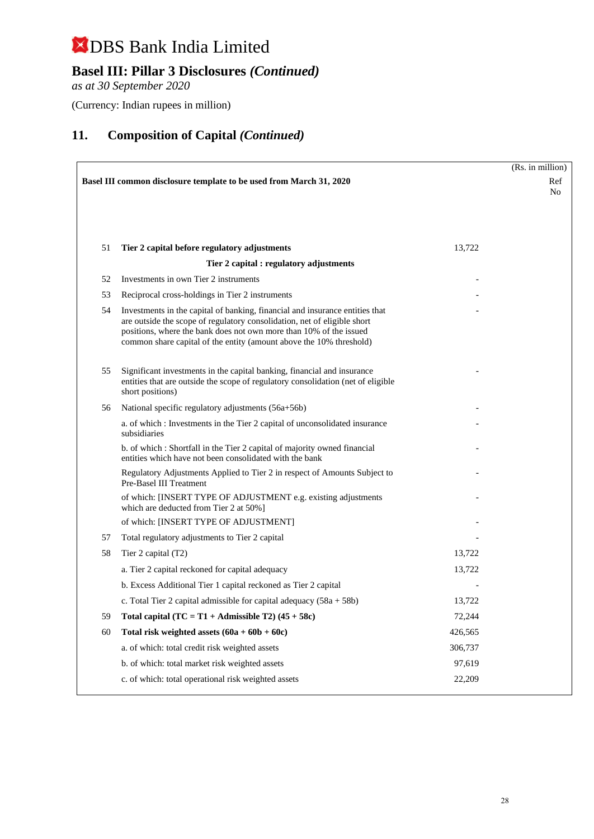## **Basel III: Pillar 3 Disclosures** *(Continued)*

*as at 30 September 2020*

(Currency: Indian rupees in million)

|    |                                                                                                                                                                                                                                                                                                       |         | (Rs. in million) |  |  |
|----|-------------------------------------------------------------------------------------------------------------------------------------------------------------------------------------------------------------------------------------------------------------------------------------------------------|---------|------------------|--|--|
|    | Basel III common disclosure template to be used from March 31, 2020                                                                                                                                                                                                                                   |         |                  |  |  |
|    |                                                                                                                                                                                                                                                                                                       |         | No               |  |  |
|    |                                                                                                                                                                                                                                                                                                       |         |                  |  |  |
|    |                                                                                                                                                                                                                                                                                                       |         |                  |  |  |
| 51 | Tier 2 capital before regulatory adjustments                                                                                                                                                                                                                                                          | 13,722  |                  |  |  |
|    | Tier 2 capital : regulatory adjustments                                                                                                                                                                                                                                                               |         |                  |  |  |
| 52 | Investments in own Tier 2 instruments                                                                                                                                                                                                                                                                 |         |                  |  |  |
| 53 | Reciprocal cross-holdings in Tier 2 instruments                                                                                                                                                                                                                                                       |         |                  |  |  |
| 54 | Investments in the capital of banking, financial and insurance entities that<br>are outside the scope of regulatory consolidation, net of eligible short<br>positions, where the bank does not own more than 10% of the issued<br>common share capital of the entity (amount above the 10% threshold) |         |                  |  |  |
| 55 | Significant investments in the capital banking, financial and insurance<br>entities that are outside the scope of regulatory consolidation (net of eligible<br>short positions)                                                                                                                       |         |                  |  |  |
| 56 | National specific regulatory adjustments (56a+56b)                                                                                                                                                                                                                                                    |         |                  |  |  |
|    | a. of which: Investments in the Tier 2 capital of unconsolidated insurance<br>subsidiaries                                                                                                                                                                                                            |         |                  |  |  |
|    | b. of which: Shortfall in the Tier 2 capital of majority owned financial<br>entities which have not been consolidated with the bank                                                                                                                                                                   |         |                  |  |  |
|    | Regulatory Adjustments Applied to Tier 2 in respect of Amounts Subject to<br>Pre-Basel III Treatment                                                                                                                                                                                                  |         |                  |  |  |
|    | of which: [INSERT TYPE OF ADJUSTMENT e.g. existing adjustments<br>which are deducted from Tier 2 at 50%]                                                                                                                                                                                              |         |                  |  |  |
|    | of which: [INSERT TYPE OF ADJUSTMENT]                                                                                                                                                                                                                                                                 |         |                  |  |  |
| 57 | Total regulatory adjustments to Tier 2 capital                                                                                                                                                                                                                                                        |         |                  |  |  |
| 58 | Tier 2 capital (T2)                                                                                                                                                                                                                                                                                   | 13,722  |                  |  |  |
|    | a. Tier 2 capital reckoned for capital adequacy                                                                                                                                                                                                                                                       | 13,722  |                  |  |  |
|    | b. Excess Additional Tier 1 capital reckoned as Tier 2 capital                                                                                                                                                                                                                                        |         |                  |  |  |
|    | c. Total Tier 2 capital admissible for capital adequacy $(58a + 58b)$                                                                                                                                                                                                                                 | 13,722  |                  |  |  |
| 59 | Total capital $(TC = T1 + \text{Admissible } T2)$ (45 + 58c)                                                                                                                                                                                                                                          | 72,244  |                  |  |  |
| 60 | Total risk weighted assets $(60a + 60b + 60c)$                                                                                                                                                                                                                                                        | 426,565 |                  |  |  |
|    | a. of which: total credit risk weighted assets                                                                                                                                                                                                                                                        | 306,737 |                  |  |  |
|    | b. of which: total market risk weighted assets                                                                                                                                                                                                                                                        | 97,619  |                  |  |  |
|    | c. of which: total operational risk weighted assets                                                                                                                                                                                                                                                   | 22,209  |                  |  |  |
|    |                                                                                                                                                                                                                                                                                                       |         |                  |  |  |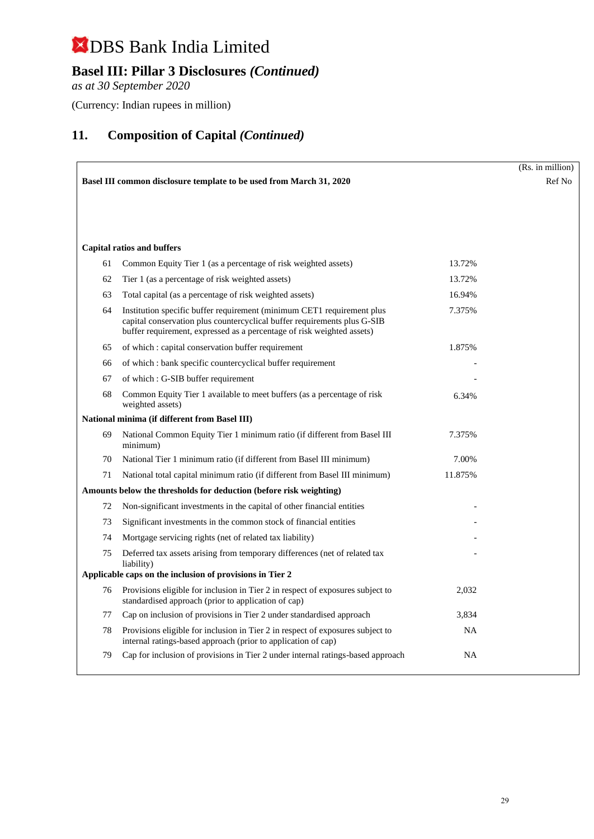## **Basel III: Pillar 3 Disclosures** *(Continued)*

*as at 30 September 2020*

(Currency: Indian rupees in million)

|    |                                                                                                                                                                                                                              |           | (Rs. in million) |
|----|------------------------------------------------------------------------------------------------------------------------------------------------------------------------------------------------------------------------------|-----------|------------------|
|    | Basel III common disclosure template to be used from March 31, 2020                                                                                                                                                          |           | Ref No           |
|    |                                                                                                                                                                                                                              |           |                  |
|    |                                                                                                                                                                                                                              |           |                  |
|    |                                                                                                                                                                                                                              |           |                  |
|    | <b>Capital ratios and buffers</b>                                                                                                                                                                                            |           |                  |
| 61 | Common Equity Tier 1 (as a percentage of risk weighted assets)                                                                                                                                                               | 13.72%    |                  |
| 62 | Tier 1 (as a percentage of risk weighted assets)                                                                                                                                                                             | 13.72%    |                  |
| 63 | Total capital (as a percentage of risk weighted assets)                                                                                                                                                                      | 16.94%    |                  |
| 64 | Institution specific buffer requirement (minimum CET1 requirement plus<br>capital conservation plus countercyclical buffer requirements plus G-SIB<br>buffer requirement, expressed as a percentage of risk weighted assets) | 7.375%    |                  |
| 65 | of which: capital conservation buffer requirement                                                                                                                                                                            | 1.875%    |                  |
| 66 | of which: bank specific countercyclical buffer requirement                                                                                                                                                                   |           |                  |
| 67 | of which: G-SIB buffer requirement                                                                                                                                                                                           |           |                  |
| 68 | Common Equity Tier 1 available to meet buffers (as a percentage of risk<br>weighted assets)                                                                                                                                  | 6.34%     |                  |
|    | National minima (if different from Basel III)                                                                                                                                                                                |           |                  |
| 69 | National Common Equity Tier 1 minimum ratio (if different from Basel III<br>minimum)                                                                                                                                         | 7.375%    |                  |
| 70 | National Tier 1 minimum ratio (if different from Basel III minimum)                                                                                                                                                          | 7.00%     |                  |
| 71 | National total capital minimum ratio (if different from Basel III minimum)                                                                                                                                                   | 11.875%   |                  |
|    | Amounts below the thresholds for deduction (before risk weighting)                                                                                                                                                           |           |                  |
| 72 | Non-significant investments in the capital of other financial entities                                                                                                                                                       |           |                  |
| 73 | Significant investments in the common stock of financial entities                                                                                                                                                            |           |                  |
| 74 | Mortgage servicing rights (net of related tax liability)                                                                                                                                                                     |           |                  |
| 75 | Deferred tax assets arising from temporary differences (net of related tax<br>liability)                                                                                                                                     |           |                  |
|    | Applicable caps on the inclusion of provisions in Tier 2                                                                                                                                                                     |           |                  |
| 76 | Provisions eligible for inclusion in Tier 2 in respect of exposures subject to<br>standardised approach (prior to application of cap)                                                                                        | 2,032     |                  |
| 77 | Cap on inclusion of provisions in Tier 2 under standardised approach                                                                                                                                                         | 3,834     |                  |
| 78 | Provisions eligible for inclusion in Tier 2 in respect of exposures subject to<br>internal ratings-based approach (prior to application of cap)                                                                              | <b>NA</b> |                  |
| 79 | Cap for inclusion of provisions in Tier 2 under internal ratings-based approach                                                                                                                                              | <b>NA</b> |                  |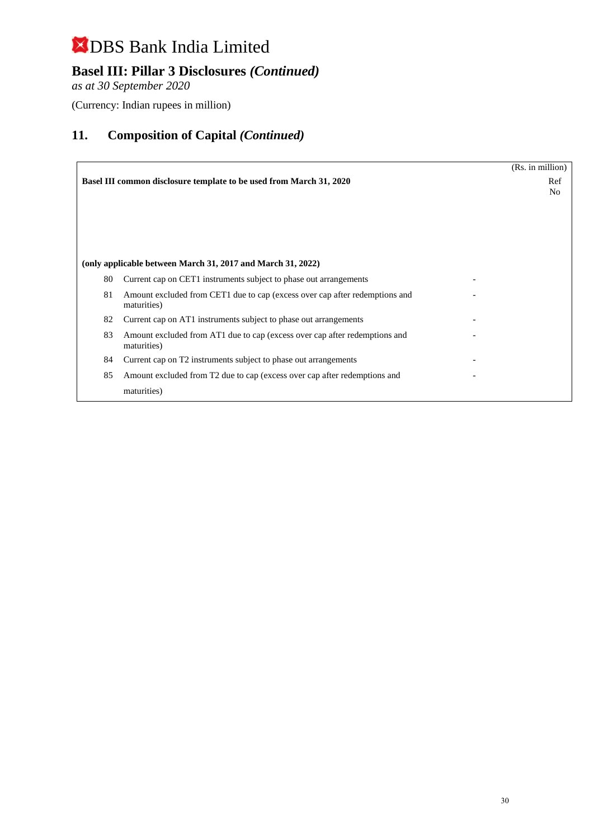## **Basel III: Pillar 3 Disclosures** *(Continued)*

*as at 30 September 2020*

(Currency: Indian rupees in million)

|    |                                                                                            | (Rs. in million) |  |
|----|--------------------------------------------------------------------------------------------|------------------|--|
|    | <b>Basel III common disclosure template to be used from March 31, 2020</b>                 | Ref<br>No        |  |
|    | (only applicable between March 31, 2017 and March 31, 2022)                                |                  |  |
| 80 | Current cap on CET1 instruments subject to phase out arrangements                          |                  |  |
| 81 | Amount excluded from CET1 due to cap (excess over cap after redemptions and<br>maturities) |                  |  |
| 82 | Current cap on AT1 instruments subject to phase out arrangements                           |                  |  |
| 83 | Amount excluded from AT1 due to cap (excess over cap after redemptions and<br>maturities)  |                  |  |
| 84 | Current cap on T2 instruments subject to phase out arrangements                            |                  |  |
| 85 | Amount excluded from T2 due to cap (excess over cap after redemptions and                  |                  |  |
|    | maturities)                                                                                |                  |  |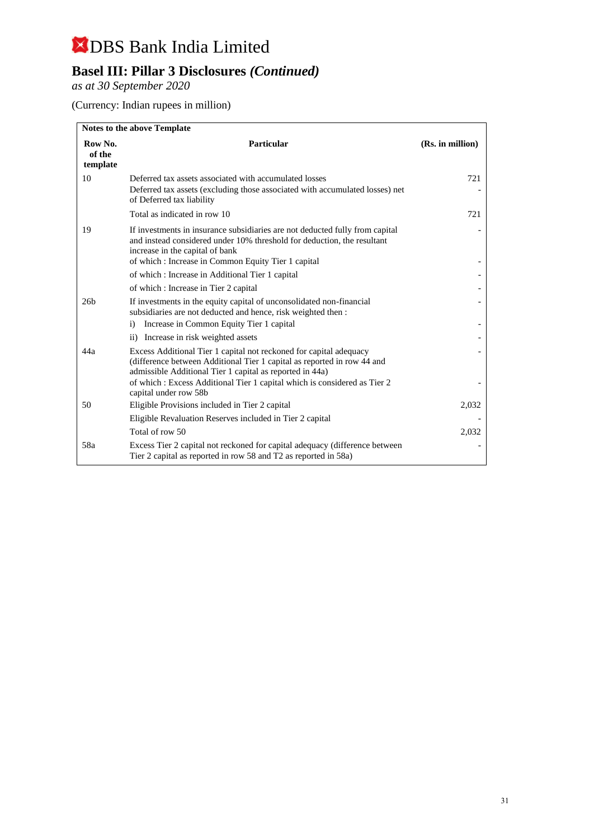## **Basel III: Pillar 3 Disclosures** *(Continued)*

*as at 30 September 2020*

(Currency: Indian rupees in million)

| <b>Notes to the above Template</b> |                                                                                                                                                                                                                                                  |                  |  |  |
|------------------------------------|--------------------------------------------------------------------------------------------------------------------------------------------------------------------------------------------------------------------------------------------------|------------------|--|--|
| Row No.<br>of the<br>template      | <b>Particular</b>                                                                                                                                                                                                                                | (Rs. in million) |  |  |
| 10                                 | Deferred tax assets associated with accumulated losses<br>Deferred tax assets (excluding those associated with accumulated losses) net<br>of Deferred tax liability                                                                              | 721              |  |  |
|                                    | Total as indicated in row 10                                                                                                                                                                                                                     | 721              |  |  |
| 19                                 | If investments in insurance subsidiaries are not deducted fully from capital<br>and instead considered under 10% threshold for deduction, the resultant<br>increase in the capital of bank<br>of which: Increase in Common Equity Tier 1 capital |                  |  |  |
|                                    | of which: Increase in Additional Tier 1 capital                                                                                                                                                                                                  |                  |  |  |
|                                    | of which: Increase in Tier 2 capital                                                                                                                                                                                                             |                  |  |  |
| 26 <sub>b</sub>                    | If investments in the equity capital of unconsolidated non-financial<br>subsidiaries are not deducted and hence, risk weighted then :                                                                                                            |                  |  |  |
|                                    | Increase in Common Equity Tier 1 capital<br>$\mathbf{i}$                                                                                                                                                                                         |                  |  |  |
|                                    | ii) Increase in risk weighted assets                                                                                                                                                                                                             |                  |  |  |
| 44a                                | Excess Additional Tier 1 capital not reckoned for capital adequacy<br>(difference between Additional Tier 1 capital as reported in row 44 and<br>admissible Additional Tier 1 capital as reported in 44a)                                        |                  |  |  |
|                                    | of which: Excess Additional Tier 1 capital which is considered as Tier 2<br>capital under row 58b                                                                                                                                                |                  |  |  |
| 50                                 | Eligible Provisions included in Tier 2 capital                                                                                                                                                                                                   | 2,032            |  |  |
|                                    | Eligible Revaluation Reserves included in Tier 2 capital                                                                                                                                                                                         |                  |  |  |
|                                    | Total of row 50                                                                                                                                                                                                                                  | 2,032            |  |  |
| 58a                                | Excess Tier 2 capital not reckoned for capital adequacy (difference between)<br>Tier 2 capital as reported in row 58 and T2 as reported in 58a)                                                                                                  |                  |  |  |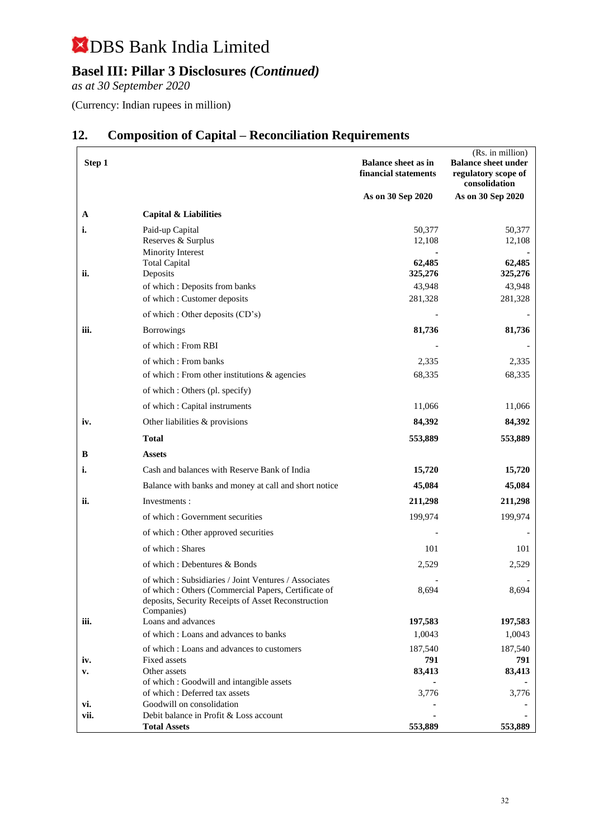## **Basel III: Pillar 3 Disclosures** *(Continued)*

*as at 30 September 2020*

(Currency: Indian rupees in million)

| Step 1  |                                                                                                                                                                    | <b>Balance sheet as in</b><br>financial statements | (Rs. in million)<br><b>Balance sheet under</b><br>regulatory scope of<br>consolidation |
|---------|--------------------------------------------------------------------------------------------------------------------------------------------------------------------|----------------------------------------------------|----------------------------------------------------------------------------------------|
|         |                                                                                                                                                                    | As on 30 Sep 2020                                  | As on 30 Sep 2020                                                                      |
| A<br>i. | <b>Capital &amp; Liabilities</b><br>Paid-up Capital                                                                                                                | 50,377                                             | 50,377                                                                                 |
|         | Reserves & Surplus<br>Minority Interest<br><b>Total Capital</b>                                                                                                    | 12,108<br>62,485                                   | 12,108<br>62,485                                                                       |
| ii.     | Deposits                                                                                                                                                           | 325,276                                            | 325,276                                                                                |
|         | of which: Deposits from banks                                                                                                                                      | 43,948                                             | 43,948                                                                                 |
|         | of which: Customer deposits                                                                                                                                        | 281,328                                            | 281,328                                                                                |
|         | of which : Other deposits (CD's)                                                                                                                                   |                                                    |                                                                                        |
| iii.    | <b>Borrowings</b>                                                                                                                                                  | 81,736                                             | 81,736                                                                                 |
|         | of which: From RBI                                                                                                                                                 |                                                    |                                                                                        |
|         | of which: From banks                                                                                                                                               | 2,335                                              | 2,335                                                                                  |
|         | of which : From other institutions & agencies                                                                                                                      | 68,335                                             | 68,335                                                                                 |
|         | of which : Others (pl. specify)                                                                                                                                    |                                                    |                                                                                        |
|         | of which : Capital instruments                                                                                                                                     | 11,066                                             | 11,066                                                                                 |
| iv.     | Other liabilities & provisions                                                                                                                                     | 84,392                                             | 84,392                                                                                 |
|         | Total                                                                                                                                                              | 553,889                                            | 553,889                                                                                |
| B       | <b>Assets</b>                                                                                                                                                      |                                                    |                                                                                        |
| i.      | Cash and balances with Reserve Bank of India                                                                                                                       | 15,720                                             | 15,720                                                                                 |
|         | Balance with banks and money at call and short notice                                                                                                              | 45,084                                             | 45,084                                                                                 |
| ii.     | Investments:                                                                                                                                                       | 211,298                                            | 211,298                                                                                |
|         | of which: Government securities                                                                                                                                    | 199,974                                            | 199,974                                                                                |
|         | of which: Other approved securities                                                                                                                                |                                                    |                                                                                        |
|         | of which: Shares                                                                                                                                                   | 101                                                | 101                                                                                    |
|         | of which: Debentures & Bonds                                                                                                                                       | 2,529                                              | 2,529                                                                                  |
|         | of which: Subsidiaries / Joint Ventures / Associates<br>of which: Others (Commercial Papers, Certificate of<br>deposits, Security Receipts of Asset Reconstruction | 8,694                                              | 8,694                                                                                  |
| iii.    | Companies)<br>Loans and advances                                                                                                                                   | 197,583                                            | 197,583                                                                                |
|         | of which: Loans and advances to banks                                                                                                                              | 1,0043                                             | 1,0043                                                                                 |
|         | of which: Loans and advances to customers                                                                                                                          | 187,540                                            | 187,540                                                                                |
| iv.     | Fixed assets                                                                                                                                                       | 791                                                | 791                                                                                    |
| v.      | Other assets<br>of which: Goodwill and intangible assets                                                                                                           | 83,413                                             | 83,413                                                                                 |
|         | of which: Deferred tax assets                                                                                                                                      | 3,776                                              | 3,776                                                                                  |
| vi.     | Goodwill on consolidation                                                                                                                                          |                                                    |                                                                                        |
| vii.    | Debit balance in Profit & Loss account<br><b>Total Assets</b>                                                                                                      | 553,889                                            | 553,889                                                                                |

## **12. Composition of Capital – Reconciliation Requirements**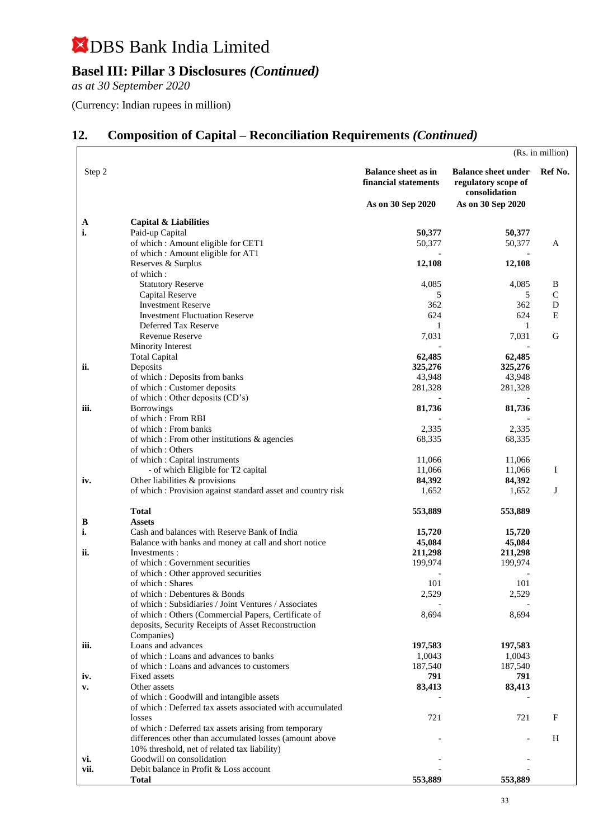## **Basel III: Pillar 3 Disclosures** *(Continued)*

*as at 30 September 2020*

(Currency: Indian rupees in million)

## **12. Composition of Capital – Reconciliation Requirements** *(Continued)*

|             |                                                                                       |                                                                         |                                                                                         | (Rs. in million) |
|-------------|---------------------------------------------------------------------------------------|-------------------------------------------------------------------------|-----------------------------------------------------------------------------------------|------------------|
| Step 2      |                                                                                       | <b>Balance sheet as in</b><br>financial statements<br>As on 30 Sep 2020 | <b>Balance sheet under</b><br>regulatory scope of<br>consolidation<br>As on 30 Sep 2020 | Ref No.          |
|             |                                                                                       |                                                                         |                                                                                         |                  |
| A           | <b>Capital &amp; Liabilities</b>                                                      |                                                                         |                                                                                         |                  |
| i.          | Paid-up Capital                                                                       | 50,377                                                                  | 50,377                                                                                  |                  |
|             | of which: Amount eligible for CET1                                                    | 50,377                                                                  | 50,377                                                                                  | A                |
|             | of which: Amount eligible for AT1                                                     |                                                                         |                                                                                         |                  |
|             | Reserves & Surplus<br>of which:                                                       | 12,108                                                                  | 12,108                                                                                  |                  |
|             | <b>Statutory Reserve</b>                                                              | 4,085                                                                   | 4,085                                                                                   | B                |
|             | Capital Reserve                                                                       | 5                                                                       | 5                                                                                       | $\mathcal{C}$    |
|             | <b>Investment Reserve</b>                                                             | 362                                                                     | 362                                                                                     | D                |
|             | <b>Investment Fluctuation Reserve</b>                                                 | 624                                                                     | 624                                                                                     | E                |
|             | Deferred Tax Reserve                                                                  | 1                                                                       | 1                                                                                       |                  |
|             | <b>Revenue Reserve</b>                                                                | 7,031                                                                   | 7,031                                                                                   | G                |
|             | Minority Interest                                                                     |                                                                         |                                                                                         |                  |
|             | <b>Total Capital</b>                                                                  | 62,485                                                                  | 62,485                                                                                  |                  |
| ii.         | Deposits                                                                              | 325,276                                                                 | 325,276                                                                                 |                  |
|             | of which: Deposits from banks                                                         | 43,948                                                                  | 43,948                                                                                  |                  |
|             | of which: Customer deposits                                                           | 281,328                                                                 | 281,328                                                                                 |                  |
| iii.        | of which: Other deposits (CD's)<br><b>Borrowings</b>                                  | 81,736                                                                  | 81,736                                                                                  |                  |
|             | of which: From RBI                                                                    |                                                                         |                                                                                         |                  |
|             | of which: From banks                                                                  | 2,335                                                                   | 2,335                                                                                   |                  |
|             | of which : From other institutions & agencies                                         | 68,335                                                                  | 68,335                                                                                  |                  |
|             | of which: Others                                                                      |                                                                         |                                                                                         |                  |
|             | of which: Capital instruments                                                         | 11,066                                                                  | 11,066                                                                                  |                  |
|             | - of which Eligible for T2 capital                                                    | 11,066                                                                  | 11,066                                                                                  | Ι                |
| iv.         | Other liabilities & provisions                                                        | 84,392                                                                  | 84,392                                                                                  |                  |
|             | of which : Provision against standard asset and country risk                          | 1,652                                                                   | 1,652                                                                                   | J                |
|             | <b>Total</b>                                                                          | 553,889                                                                 | 553,889                                                                                 |                  |
| B           | <b>Assets</b>                                                                         |                                                                         |                                                                                         |                  |
| i.          | Cash and balances with Reserve Bank of India                                          | 15,720                                                                  | 15,720                                                                                  |                  |
|             | Balance with banks and money at call and short notice                                 | 45,084                                                                  | 45,084                                                                                  |                  |
| ii.         | Investments:                                                                          | 211,298                                                                 | 211,298                                                                                 |                  |
|             | of which : Government securities                                                      | 199,974                                                                 | 199,974                                                                                 |                  |
|             | of which : Other approved securities                                                  |                                                                         |                                                                                         |                  |
|             | of which: Shares                                                                      | 101                                                                     | 101                                                                                     |                  |
|             | of which : Debentures & Bonds<br>of which: Subsidiaries / Joint Ventures / Associates | 2,529                                                                   | 2,529                                                                                   |                  |
|             | of which : Others (Commercial Papers, Certificate of                                  | 8,694                                                                   | 8,694                                                                                   |                  |
|             | deposits, Security Receipts of Asset Reconstruction                                   |                                                                         |                                                                                         |                  |
|             | Companies)                                                                            |                                                                         |                                                                                         |                  |
| iii.        | Loans and advances                                                                    | 197,583                                                                 | 197,583                                                                                 |                  |
|             | of which: Loans and advances to banks                                                 | 1,0043                                                                  | 1,0043                                                                                  |                  |
|             | of which: Loans and advances to customers                                             | 187,540                                                                 | 187,540                                                                                 |                  |
| iv.         | Fixed assets                                                                          | 791                                                                     | 791                                                                                     |                  |
| v.          | Other assets                                                                          | 83,413                                                                  | 83,413                                                                                  |                  |
|             | of which: Goodwill and intangible assets                                              |                                                                         |                                                                                         |                  |
|             | of which: Deferred tax assets associated with accumulated                             |                                                                         |                                                                                         |                  |
|             | losses                                                                                | 721                                                                     | 721                                                                                     | F                |
|             | of which : Deferred tax assets arising from temporary                                 |                                                                         |                                                                                         |                  |
|             | differences other than accumulated losses (amount above                               |                                                                         |                                                                                         | H                |
|             | 10% threshold, net of related tax liability)<br>Goodwill on consolidation             |                                                                         |                                                                                         |                  |
| vi.<br>vii. | Debit balance in Profit & Loss account                                                |                                                                         |                                                                                         |                  |
|             | <b>Total</b>                                                                          | 553,889                                                                 | 553,889                                                                                 |                  |
|             |                                                                                       |                                                                         |                                                                                         |                  |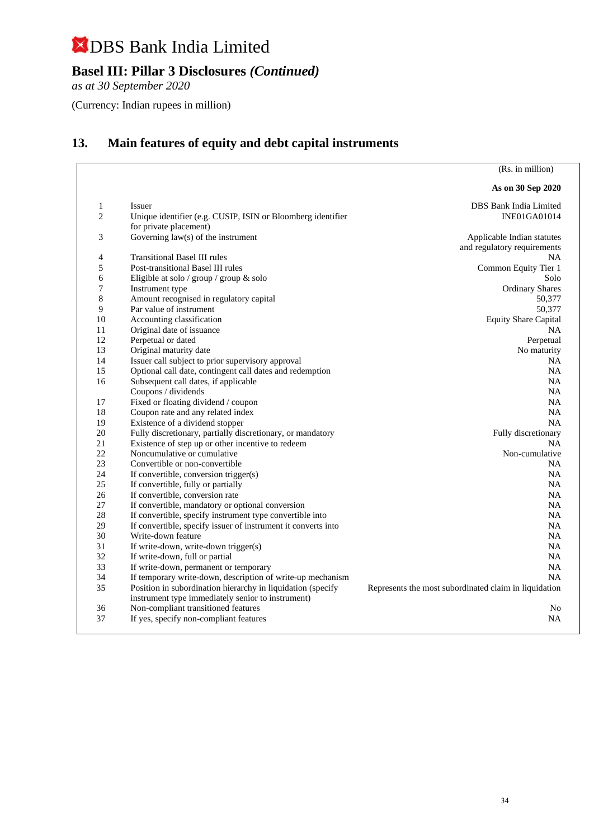## **Basel III: Pillar 3 Disclosures** *(Continued)*

*as at 30 September 2020*

(Currency: Indian rupees in million)

## **13. Main features of equity and debt capital instruments**

(Rs. in million)

|    |                                                                                                                  | As on 30 Sep 2020                                     |
|----|------------------------------------------------------------------------------------------------------------------|-------------------------------------------------------|
| 1  | Issuer                                                                                                           | DBS Bank India Limited                                |
| 2  | Unique identifier (e.g. CUSIP, ISIN or Bloomberg identifier<br>for private placement)                            | <b>INE01GA01014</b>                                   |
| 3  | Governing $law(s)$ of the instrument                                                                             | Applicable Indian statutes                            |
|    |                                                                                                                  | and regulatory requirements                           |
| 4  | <b>Transitional Basel III rules</b>                                                                              | NA.                                                   |
| 5  | Post-transitional Basel III rules                                                                                | Common Equity Tier 1                                  |
| 6  | Eligible at solo / group / group & solo                                                                          | Solo                                                  |
| 7  | Instrument type                                                                                                  | <b>Ordinary Shares</b>                                |
| 8  | Amount recognised in regulatory capital                                                                          | 50,377                                                |
| 9  | Par value of instrument                                                                                          | 50,377                                                |
| 10 | Accounting classification                                                                                        | <b>Equity Share Capital</b>                           |
| 11 | Original date of issuance                                                                                        | <b>NA</b>                                             |
| 12 | Perpetual or dated                                                                                               | Perpetual                                             |
| 13 | Original maturity date                                                                                           | No maturity                                           |
| 14 | Issuer call subject to prior supervisory approval                                                                | <b>NA</b>                                             |
| 15 | Optional call date, contingent call dates and redemption                                                         | NA                                                    |
| 16 | Subsequent call dates, if applicable                                                                             | <b>NA</b>                                             |
|    | Coupons / dividends                                                                                              | <b>NA</b>                                             |
| 17 | Fixed or floating dividend / coupon                                                                              | <b>NA</b>                                             |
| 18 | Coupon rate and any related index                                                                                | NA                                                    |
| 19 | Existence of a dividend stopper                                                                                  | <b>NA</b>                                             |
| 20 | Fully discretionary, partially discretionary, or mandatory                                                       | Fully discretionary                                   |
| 21 | Existence of step up or other incentive to redeem                                                                | <b>NA</b>                                             |
| 22 | Noncumulative or cumulative                                                                                      | Non-cumulative                                        |
| 23 | Convertible or non-convertible                                                                                   | NA                                                    |
| 24 | If convertible, conversion trigger(s)                                                                            | NA.                                                   |
| 25 | If convertible, fully or partially                                                                               | NA.                                                   |
| 26 | If convertible, conversion rate                                                                                  | NA.                                                   |
| 27 | If convertible, mandatory or optional conversion                                                                 | <b>NA</b>                                             |
| 28 | If convertible, specify instrument type convertible into                                                         | <b>NA</b>                                             |
| 29 | If convertible, specify issuer of instrument it converts into                                                    | <b>NA</b>                                             |
| 30 | Write-down feature                                                                                               | <b>NA</b>                                             |
| 31 | If write-down, write-down trigger(s)                                                                             | <b>NA</b>                                             |
| 32 | If write-down, full or partial                                                                                   | NA                                                    |
| 33 | If write-down, permanent or temporary                                                                            | NA                                                    |
| 34 | If temporary write-down, description of write-up mechanism                                                       | NA                                                    |
| 35 | Position in subordination hierarchy in liquidation (specify<br>instrument type immediately senior to instrument) | Represents the most subordinated claim in liquidation |
| 36 | Non-compliant transitioned features                                                                              | N <sub>0</sub>                                        |
| 37 | If yes, specify non-compliant features                                                                           | NA                                                    |
|    |                                                                                                                  |                                                       |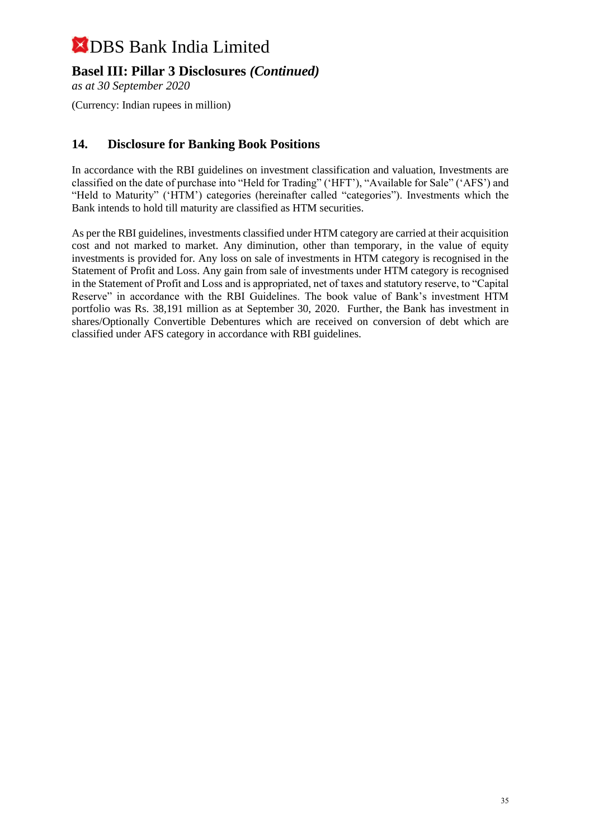## **Basel III: Pillar 3 Disclosures** *(Continued)*

*as at 30 September 2020*

(Currency: Indian rupees in million)

## **14. Disclosure for Banking Book Positions**

In accordance with the RBI guidelines on investment classification and valuation, Investments are classified on the date of purchase into "Held for Trading" ('HFT'), "Available for Sale" ('AFS') and "Held to Maturity" ('HTM') categories (hereinafter called "categories"). Investments which the Bank intends to hold till maturity are classified as HTM securities.

As per the RBI guidelines, investments classified under HTM category are carried at their acquisition cost and not marked to market. Any diminution, other than temporary, in the value of equity investments is provided for. Any loss on sale of investments in HTM category is recognised in the Statement of Profit and Loss. Any gain from sale of investments under HTM category is recognised in the Statement of Profit and Loss and is appropriated, net of taxes and statutory reserve, to "Capital Reserve" in accordance with the RBI Guidelines. The book value of Bank's investment HTM portfolio was Rs. 38,191 million as at September 30, 2020. Further, the Bank has investment in shares/Optionally Convertible Debentures which are received on conversion of debt which are classified under AFS category in accordance with RBI guidelines.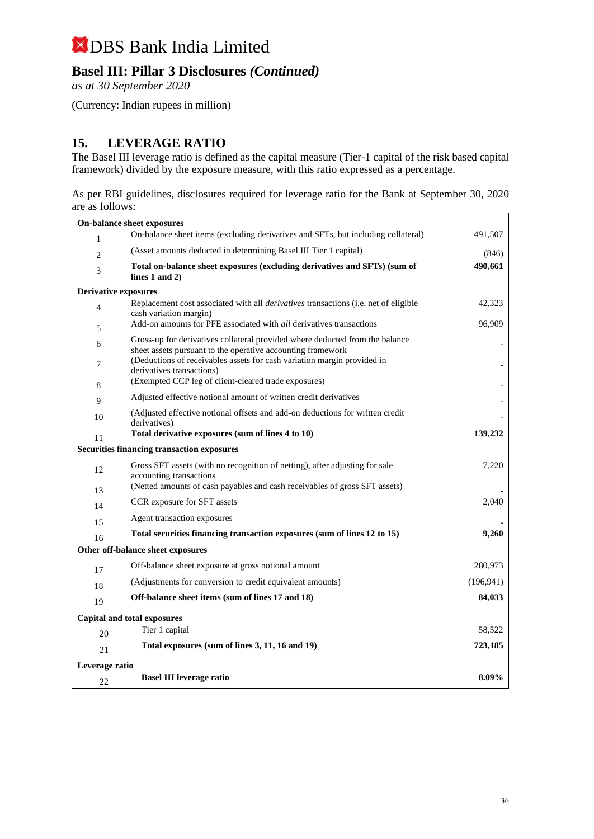## **Basel III: Pillar 3 Disclosures** *(Continued)*

*as at 30 September 2020*

(Currency: Indian rupees in million)

### **15. LEVERAGE RATIO**

The Basel III leverage ratio is defined as the capital measure (Tier-1 capital of the risk based capital framework) divided by the exposure measure, with this ratio expressed as a percentage.

As per RBI guidelines, disclosures required for leverage ratio for the Bank at September 30, 2020 are as follows:

|                             | On-balance sheet exposures                                                                                                                  |            |
|-----------------------------|---------------------------------------------------------------------------------------------------------------------------------------------|------------|
| 1                           | On-balance sheet items (excluding derivatives and SFTs, but including collateral)                                                           | 491,507    |
| $\overline{c}$              | (Asset amounts deducted in determining Basel III Tier 1 capital)                                                                            | (846)      |
| 3                           | Total on-balance sheet exposures (excluding derivatives and SFTs) (sum of<br>lines $1$ and $2)$                                             | 490,661    |
| <b>Derivative exposures</b> |                                                                                                                                             |            |
| $\overline{4}$              | Replacement cost associated with all <i>derivatives</i> transactions (i.e. net of eligible<br>cash variation margin)                        | 42,323     |
| 5                           | Add-on amounts for PFE associated with <i>all</i> derivatives transactions                                                                  | 96,909     |
| 6                           | Gross-up for derivatives collateral provided where deducted from the balance<br>sheet assets pursuant to the operative accounting framework |            |
| 7                           | (Deductions of receivables assets for cash variation margin provided in<br>derivatives transactions)                                        |            |
| 8                           | (Exempted CCP leg of client-cleared trade exposures)                                                                                        |            |
| 9                           | Adjusted effective notional amount of written credit derivatives                                                                            |            |
| 10                          | (Adjusted effective notional offsets and add-on deductions for written credit<br>derivatives)                                               |            |
| 11                          | Total derivative exposures (sum of lines 4 to 10)                                                                                           | 139,232    |
|                             | <b>Securities financing transaction exposures</b>                                                                                           |            |
| 12                          | Gross SFT assets (with no recognition of netting), after adjusting for sale<br>accounting transactions                                      | 7,220      |
| 13                          | (Netted amounts of cash payables and cash receivables of gross SFT assets)                                                                  |            |
| 14                          | CCR exposure for SFT assets                                                                                                                 | 2,040      |
| 15                          | Agent transaction exposures                                                                                                                 |            |
| 16                          | Total securities financing transaction exposures (sum of lines 12 to 15)                                                                    | 9,260      |
|                             | Other off-balance sheet exposures                                                                                                           |            |
| 17                          | Off-balance sheet exposure at gross notional amount                                                                                         | 280,973    |
| 18                          | (Adjustments for conversion to credit equivalent amounts)                                                                                   | (196, 941) |
| 19                          | Off-balance sheet items (sum of lines 17 and 18)                                                                                            | 84,033     |
|                             | Capital and total exposures                                                                                                                 |            |
| 20                          | Tier 1 capital                                                                                                                              | 58,522     |
| 21                          | Total exposures (sum of lines 3, 11, 16 and 19)                                                                                             | 723,185    |
| Leverage ratio              |                                                                                                                                             |            |
| 22                          | <b>Basel III leverage ratio</b>                                                                                                             | 8.09%      |